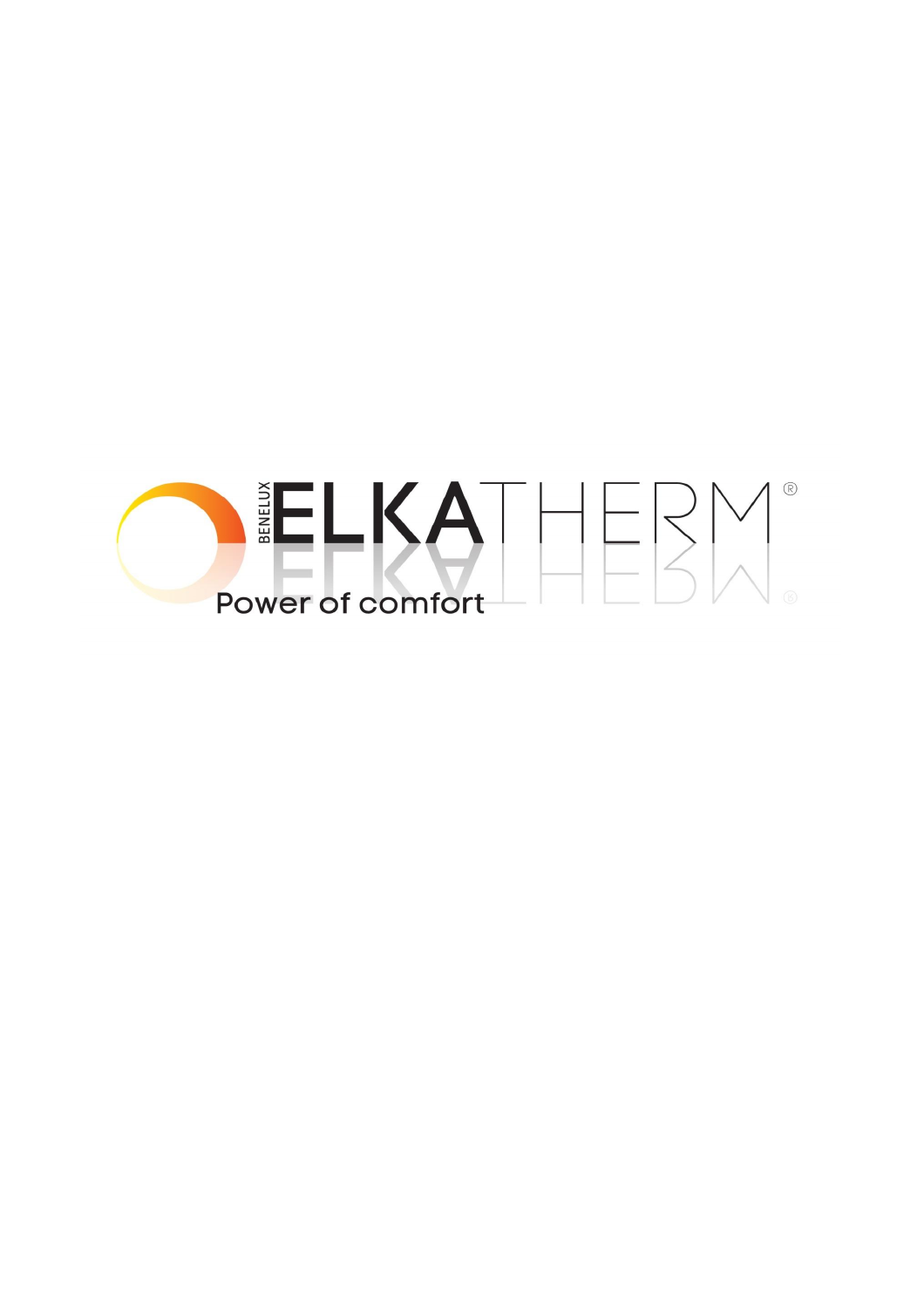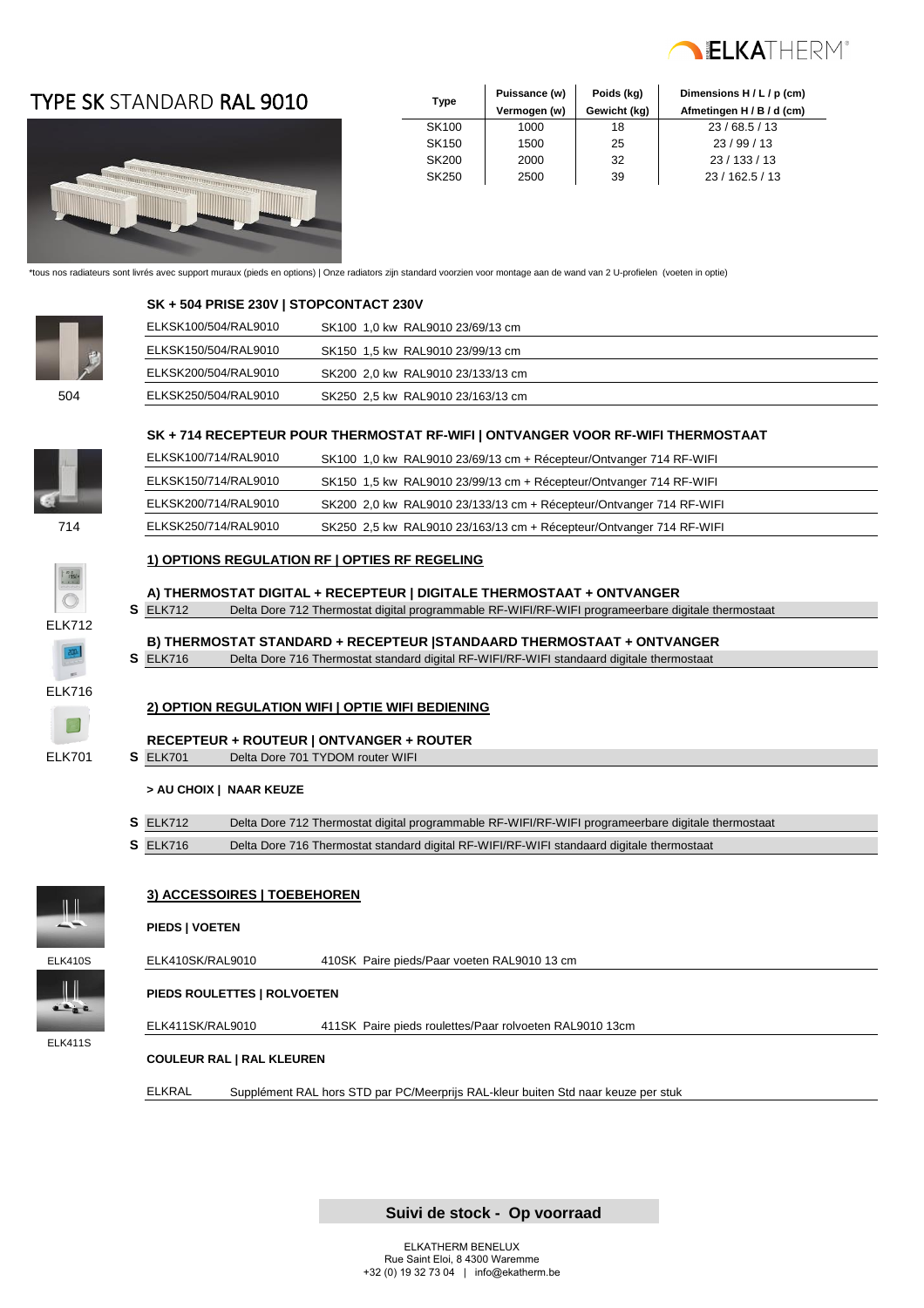

### TYPE SK STANDARD RAL 9010



| Type         | Puissance (w) | Poids (kg)   | Dimensions H / L / p (cm) |
|--------------|---------------|--------------|---------------------------|
|              | Vermogen (w)  | Gewicht (kg) | Afmetingen H / B / d (cm) |
| SK100        | 1000          | 18           | 23/68.5/13                |
| <b>SK150</b> | 1500          | 25           | 23/99/13                  |
| <b>SK200</b> | 2000          | 32           | 23/133/13                 |
| <b>SK250</b> | 2500          | 39           | 23 / 162.5 / 13           |

\*tous nos radiateurs sont livrés avec support muraux (pieds en options) | Onze radiators zijn standard voorzien voor montage aan de wand van 2 U-profielen (voeten in optie)



 **SK + 504 PRISE 230V | STOPCONTACT 230V** 

|     | ELKSK100/504/RAL9010 | SK100 1.0 kw RAL9010 23/69/13 cm  |  |
|-----|----------------------|-----------------------------------|--|
|     | ELKSK150/504/RAL9010 | SK150 1.5 kw RAL9010 23/99/13 cm  |  |
|     | ELKSK200/504/RAL9010 | SK200 2.0 kw RAL9010 23/133/13 cm |  |
| 504 | ELKSK250/504/RAL9010 | SK250 2,5 kw RAL9010 23/163/13 cm |  |
|     |                      |                                   |  |

#### **SK + 714 RECEPTEUR POUR THERMOSTAT RF-WIFI | ONTVANGER VOOR RF-WIFI THERMOSTAAT**

|     | ELKSK100/714/RAL9010 | SK100 1,0 kw RAL9010 23/69/13 cm + Récepteur/Ontvanger 714 RF-WIFI  |  |
|-----|----------------------|---------------------------------------------------------------------|--|
|     | ELKSK150/714/RAL9010 | SK150 1,5 kw RAL9010 23/99/13 cm + Récepteur/Ontvanger 714 RF-WIFI  |  |
|     | ELKSK200/714/RAL9010 | SK200 2,0 kw RAL9010 23/133/13 cm + Récepteur/Ontvanger 714 RF-WIFI |  |
| 714 | ELKSK250/714/RAL9010 | SK250 2,5 kw RAL9010 23/163/13 cm + Récepteur/Ontvanger 714 RF-WIFI |  |
|     |                      |                                                                     |  |

#### **1) OPTIONS REGULATION RF | OPTIES RF REGELING**

#### **A) THERMOSTAT DIGITAL + RECEPTEUR | DIGITALE THERMOSTAAT + ONTVANGER**

**S** ELK712 Delta Dore 712 Thermostat digital programmable RF-WIFI/RF-WIFI programeerbare digitale thermostaat

#### **B) THERMOSTAT STANDARD + RECEPTEUR |STANDAARD THERMOSTAAT + ONTVANGER**

**S** ELK716 Delta Dore 716 Thermostat standard digital RF-WIFI/RF-WIFI standaard digitale thermostaat



ELK712

#### **2) OPTION REGULATION WIFI | OPTIE WIFI BEDIENING**

**RECEPTEUR + ROUTEUR | ONTVANGER + ROUTER** ELK701 **S** ELK701 Delta Dore 701 TYDOM router WIFI

#### **> AU CHOIX | NAAR KEUZE**

- **S** ELK712 Delta Dore 712 Thermostat digital programmable RF-WIFI/RF-WIFI programeerbare digitale thermostaat
- **S** ELK716 Delta Dore 716 Thermostat standard digital RF-WIFI/RF-WIFI standaard digitale thermostaat



#### **3) ACCESSOIRES | TOEBEHOREN**

#### **PIEDS | VOETEN**



ELK411S

**PIEDS ROULETTES | ROLVOETEN**

ELK411SK/RAL9010 411SK Paire pieds roulettes/Paar rolvoeten RAL9010 13cm

#### **COULEUR RAL | RAL KLEUREN**

ELKRAL Supplément RAL hors STD par PC/Meerprijs RAL-kleur buiten Std naar keuze per stuk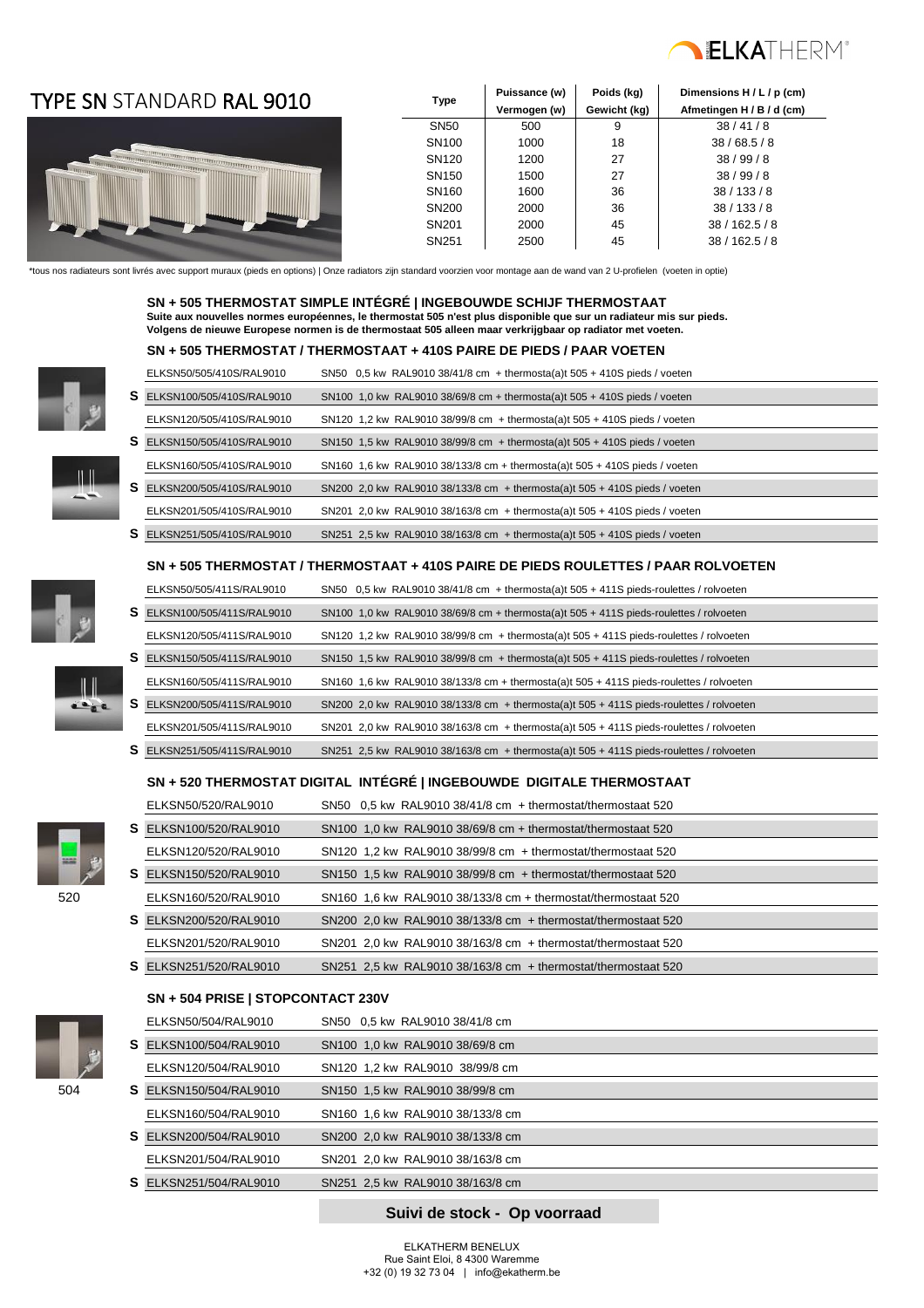

### TYPE SN **Type** STANDARD RAL 9010



| Type              | Puissance (w) | Poids (kg)   | Dimensions H / L / p (cm) |
|-------------------|---------------|--------------|---------------------------|
|                   | Vermogen (w)  | Gewicht (kg) | Afmetingen H / B / d (cm) |
| <b>SN50</b>       | 500           | 9            | 38/41/8                   |
| SN <sub>100</sub> | 1000          | 18           | 38/68.5/8                 |
| SN <sub>120</sub> | 1200          | 27           | 38/99/8                   |
| SN <sub>150</sub> | 1500          | 27           | 38/99/8                   |
| SN <sub>160</sub> | 1600          | 36           | 38/133/8                  |
| SN <sub>200</sub> | 2000          | 36           | 38/133/8                  |
| SN <sub>201</sub> | 2000          | 45           | 38/162.5/8                |
| SN <sub>251</sub> | 2500          | 45           | 38/162.5/8                |

\*tous nos radiateurs sont livrés avec support muraux (pieds en options) | Onze radiators zijn standard voorzien voor montage aan de wand van 2 U-profielen (voeten in optie)

 **SN + 505 THERMOSTAT SIMPLE INTÉGRÉ | INGEBOUWDE SCHIJF THERMOSTAAT Suite aux nouvelles normes européennes, le thermostat 505 n'est plus disponible que sur un radiateur mis sur pieds. Volgens de nieuwe Europese normen is de thermostaat 505 alleen maar verkrijgbaar op radiator met voeten.**



| ELKSN50/505/410S/RAL9010           | SN50 $0,5$ kw RAL9010 38/41/8 cm + thermosta(a)t $505 + 410S$ pieds / voeten |  |
|------------------------------------|------------------------------------------------------------------------------|--|
| <b>S</b> ELKSN100/505/410S/RAL9010 | SN100 1,0 kw RAL9010 38/69/8 cm + thermosta(a)t $505 + 410S$ pieds / voeten  |  |
|                                    |                                                                              |  |
| ELKSN120/505/410S/RAL9010          | SN120 1.2 kw RAL9010 38/99/8 cm + thermosta(a)t 505 + 410S pieds / voeten    |  |
| S ELKSN150/505/410S/RAL9010        | SN150 1.5 kw RAL9010 38/99/8 cm + thermosta(a)t 505 + 410S pieds / voeten    |  |
|                                    |                                                                              |  |
| ELKSN160/505/410S/RAL9010          | SN160 1.6 kw RAL9010 38/133/8 cm + thermosta(a)t 505 + 410S pieds / voeten   |  |
| <b>S</b> ELKSN200/505/410S/RAL9010 | SN200 2.0 kw RAL9010 38/133/8 cm + thermosta(a)t $505 + 410S$ pieds / voeten |  |
|                                    |                                                                              |  |
| ELKSN201/505/410S/RAL9010          | SN201 2.0 kw RAL9010 38/163/8 cm + thermosta(a)t $505 + 410S$ pieds / voeten |  |
| <b>S</b> ELKSN251/505/410S/RAL9010 | SN251 2.5 kw RAL9010 38/163/8 cm + thermosta(a)t $505 + 410S$ pieds / voeten |  |
|                                    |                                                                              |  |

#### **SN + 505 THERMOSTAT / THERMOSTAAT + 410S PAIRE DE PIEDS ROULETTES / PAAR ROLVOETEN**

ELKSN50/505/411S/RAL9010 SN50 0,5 kw RAL9010 38/41/8 cm + thermosta(a)t 505 + 411S pieds-roulettes / rolvoeten **S** ELKSN100/505/411S/RAL9010 SN100 1,0 kw RAL9010 38/69/8 cm + thermosta(a)t 505 + 411S pieds-roulettes / rolvoeten ELKSN120/505/411S/RAL9010 SN120 1,2 kw RAL9010 38/99/8 cm + thermosta(a)t 505 + 411S pieds-roulettes / rolvoeten

ELKSN160/505/411S/RAL9010 SN160 1,6 kw RAL9010 38/133/8 cm + thermosta(a)t 505 + 411S pieds-roulettes / rolvoeten **S** ELKSN200/505/411S/RAL9010 SN200 2,0 kw RAL9010 38/133/8 cm + thermosta(a)t 505 + 411S pieds-roulettes / rolvoeten ELKSN201/505/411S/RAL9010 SN201 2,0 kw RAL9010 38/163/8 cm + thermosta(a)t 505 + 411S pieds-roulettes / rolvoeten **S** ELKSN251/505/411S/RAL9010 SN251 2,5 kw RAL9010 38/163/8 cm + thermosta(a)t 505 + 411S pieds-roulettes / rolvoeten

**SN + 520 THERMOSTAT DIGITAL INTÉGRÉ | INGEBOUWDE DIGITALE THERMOSTAAT**





|                                                                           | S ELKSN150/505/411S/RAL9010      |  | SN150 1.5 kw RAL9010 38/99/8 cm + thermosta(a)t $505 + 411S$ pieds-roulettes / rolvoeten  |
|---------------------------------------------------------------------------|----------------------------------|--|-------------------------------------------------------------------------------------------|
|                                                                           | ELKSN160/505/411S/RAL9010        |  | SN160 1,6 kw RAL9010 38/133/8 cm + thermosta(a)t $505 + 411S$ pieds-roulettes / rolvoeter |
| $\frac{\prod\limits_{\alpha\in\alpha}a}{\prod\limits_{\alpha\in\alpha}a}$ | S ELKSN200/505/411S/RAL9010      |  | SN200 2,0 kw RAL9010 38/133/8 cm + thermosta(a)t $505 + 411S$ pieds-roulettes / rolvoete  |
|                                                                           | FUKONDOA (FOF (444 O ID AL OO4 O |  | $OMOM, OOM, NU, OMAO, OOMOMO, and the model of the RDE. 1440. The results are the$        |



### ELKSN50/520/RAL9010 SN50 0,5 kw RAL9010 38/41/8 cm + thermostat/thermostaat 520 **S** ELKSN100/520/RAL9010 SN100 1,0 kw RAL9010 38/69/8 cm + thermostat/thermostaat 520 ELKSN120/520/RAL9010 SN120 1,2 kw RAL9010 38/99/8 cm + thermostat/thermostaat 520 520 **S** ELKSN150/520/RAL9010 SN150 1,5 kw RAL9010 38/99/8 cm + thermostat/thermostaat 520 520 ELKSN160/520/RAL9010 SN160 1,6 kw RAL9010 38/133/8 cm + thermostat/thermostaat 520 **S** ELKSN200/520/RAL9010 SN200 2,0 kw RAL9010 38/133/8 cm + thermostat/thermostaat 520 ELKSN201/520/RAL9010 SN201 2,0 kw RAL9010 38/163/8 cm + thermostat/thermostaat 520

**S** ELKSN251/520/RAL9010 SN251 2,5 kw RAL9010 38/163/8 cm + thermostat/thermostaat 520

#### **SN + 504 PRISE | STOPCONTACT 230V**



|     |    | ELKSN50/504/RAL9010           | SN50 0.5 kw RAL9010 38/41/8 cm   |
|-----|----|-------------------------------|----------------------------------|
|     | S. | ELKSN100/504/RAL9010          | SN100 1.0 kw RAL9010 38/69/8 cm  |
|     |    | ELKSN120/504/RAL9010          | SN120 1.2 kw RAL9010 38/99/8 cm  |
| 504 |    | <b>S</b> ELKSN150/504/RAL9010 | SN150 1.5 kw RAL9010 38/99/8 cm  |
|     |    | ELKSN160/504/RAL9010          | SN160 1.6 kw RAL9010 38/133/8 cm |
|     |    | <b>S</b> ELKSN200/504/RAL9010 | SN200 2.0 kw RAL9010 38/133/8 cm |
|     |    | ELKSN201/504/RAL9010          | SN201 2.0 kw RAL9010 38/163/8 cm |
|     |    | <b>S</b> ELKSN251/504/RAL9010 | SN251 2,5 kw RAL9010 38/163/8 cm |
|     |    |                               |                                  |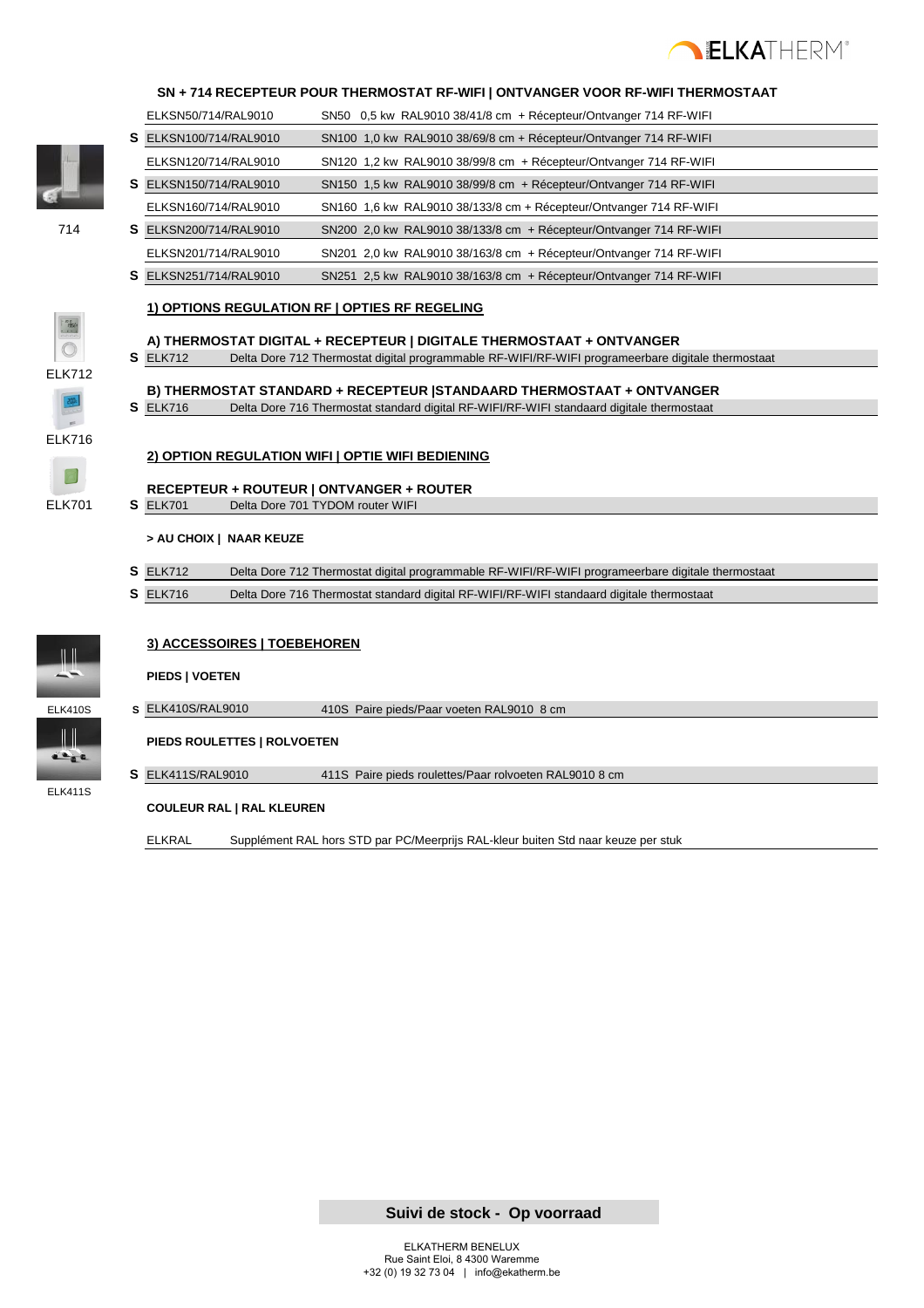

#### **SN + 714 RECEPTEUR POUR THERMOSTAT RF-WIFI | ONTVANGER VOOR RF-WIFI THERMOSTAAT**

ELKSN50/714/RAL9010 SN50 0,5 kw RAL9010 38/41/8 cm + Récepteur/Ontvanger 714 RF-WIFI

- 
- **S** ELKSN100/714/RAL9010 SN100 1,0 kw RAL9010 38/69/8 cm + Récepteur/Ontvanger 714 RF-WIFI ELKSN120/714/RAL9010 SN120 1,2 kw RAL9010 38/99/8 cm + Récepteur/Ontvanger 714 RF-WIFI **S** ELKSN150/714/RAL9010 SN150 1,5 kw RAL9010 38/99/8 cm + Récepteur/Ontvanger 714 RF-WIFI ELKSN160/714/RAL9010 SN160 1,6 kw RAL9010 38/133/8 cm + Récepteur/Ontvanger 714 RF-WIFI 714 **S** ELKSN200/714/RAL9010 SN200 2,0 kw RAL9010 38/133/8 cm + Récepteur/Ontvanger 714 RF-WIFI ELKSN201/714/RAL9010 SN201 2,0 kw RAL9010 38/163/8 cm + Récepteur/Ontvanger 714 RF-WIFI **S** ELKSN251/714/RAL9010 SN251 2,5 kw RAL9010 38/163/8 cm + Récepteur/Ontvanger 714 RF-WIFI

#### **1) OPTIONS REGULATION RF | OPTIES RF REGELING**

ELK712

## **S** ELK712 Delta Dore 712 Thermostat digital programmable RF-WIFI/RF-WIFI programeerbare digitale thermostaat

**A) THERMOSTAT DIGITAL + RECEPTEUR | DIGITALE THERMOSTAAT + ONTVANGER** 

- **B) THERMOSTAT STANDARD + RECEPTEUR |STANDAARD THERMOSTAAT + ONTVANGER**
- **S** ELK716 Delta Dore 716 Thermostat standard digital RF-WIFI/RF-WIFI standaard digitale thermostaat



#### **2) OPTION REGULATION WIFI | OPTIE WIFI BEDIENING**

**RECEPTEUR + ROUTEUR | ONTVANGER + ROUTER** ELK701 **S** ELK701 Delta Dore 701 TYDOM router WIFI

#### **> AU CHOIX | NAAR KEUZE**

- **S** ELK712 Delta Dore 712 Thermostat digital programmable RF-WIFI/RF-WIFI programeerbare digitale thermostaat
- **S** ELK716 Delta Dore 716 Thermostat standard digital RF-WIFI/RF-WIFI standaard digitale thermostaat



ELK411S

 $\frac{1}{2}$ 

### **3) ACCESSOIRES | TOEBEHOREN**

#### **PIEDS | VOETEN**

ELK410S **S** ELK410S/RAL9010 410S Paire pieds/Paar voeten RAL9010 8 cm

**PIEDS ROULETTES | ROLVOETEN**

**S** ELK411S/RAL9010 411S Paire pieds roulettes/Paar rolvoeten RAL9010 8 cm

#### **COULEUR RAL | RAL KLEUREN**

ELKRAL Supplément RAL hors STD par PC/Meerprijs RAL-kleur buiten Std naar keuze per stuk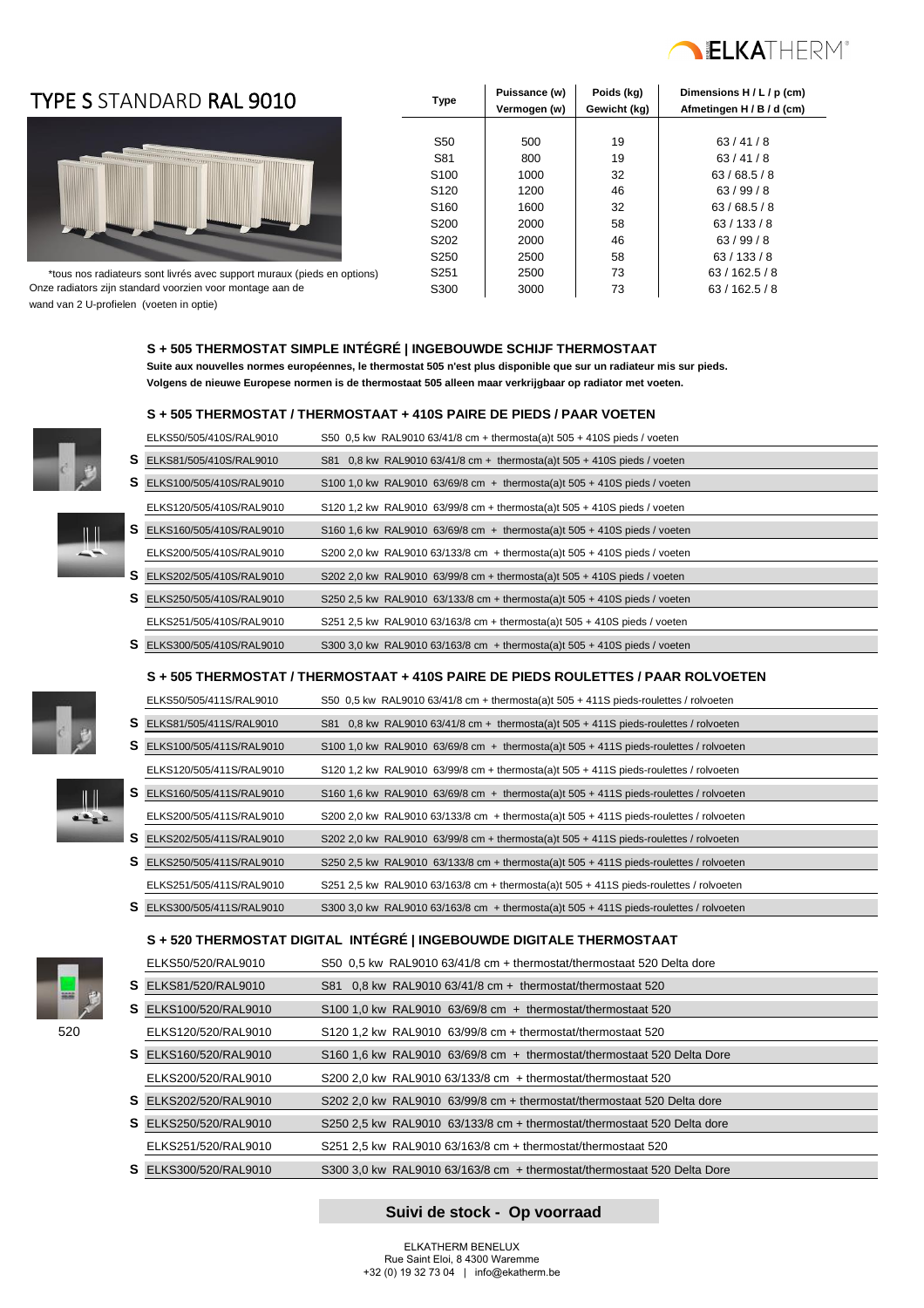

### **TYPE S** STANDARD **RAL 9010** Type



Puissance (w) Poids (kg) Dimensions H / L / p (cm) **Vermogen (w) Gewicht (kg) Afmetingen H / B / d (cm)** S50 | 500 | 19 | 63/41/8 S81 800 19 63/41/8 S100 1000 32 63/68.5/8 S120 | 1200 | 46 | 63/99/8 S160 1600 32 63/68.5/8 S200 2000 58 63/133/8 S202 2000 46 63/99/8 S250 2500 58 63/133/8 S251 2500 73 63/162.5/8 Onze radiators zijn standard voorzien voor montage aan de S300 5300 5300 73 63 / 162.5 / 8 \*tous nos radiateurs sont livrés avec support muraux (pieds en options)

wand van 2 U-profielen (voeten in optie)

#### **S + 505 THERMOSTAT SIMPLE INTÉGRÉ | INGEBOUWDE SCHIJF THERMOSTAAT**

 **Suite aux nouvelles normes européennes, le thermostat 505 n'est plus disponible que sur un radiateur mis sur pieds. Volgens de nieuwe Europese normen is de thermostaat 505 alleen maar verkrijgbaar op radiator met voeten.**

#### **S + 505 THERMOSTAT / THERMOSTAAT + 410S PAIRE DE PIEDS / PAAR VOETEN**

| ELKS50/505/410S/RAL9010           | S50 0.5 kw RAL9010 63/41/8 cm + thermosta(a)t 505 + 410S pieds / voeten     |
|-----------------------------------|-----------------------------------------------------------------------------|
| S ELKS81/505/410S/RAL9010         | S81 0.8 kw RAL9010 63/41/8 cm + thermosta(a)t $505 + 410S$ pieds / voeten   |
| <b>S</b> ELKS100/505/410S/RAL9010 | S100 1.0 kw RAL9010 63/69/8 cm + thermosta(a)t $505 + 410S$ pieds / voeten  |
| ELKS120/505/410S/RAL9010          | S120 1.2 kw RAL9010 63/99/8 cm + thermosta(a)t 505 + 410S pieds / voeten    |
| S ELKS160/505/410S/RAL9010        | S160 1.6 kw RAL9010 63/69/8 cm + thermosta(a)t $505 + 410S$ pieds / voeten  |
| ELKS200/505/410S/RAL9010          | S200 2.0 kw RAL9010 63/133/8 cm + thermosta(a)t 505 + 410S pieds / voeten   |
| S ELKS202/505/410S/RAL9010        | S202 2.0 kw RAL9010 63/99/8 cm + thermosta(a)t 505 + 410S pieds / voeten    |
| S ELKS250/505/410S/RAL9010        | S250 2.5 kw RAL9010 $63/133/8$ cm + thermosta(a)t 505 + 410S pieds / voeten |
| ELKS251/505/410S/RAL9010          | S251 2.5 kw RAL9010 63/163/8 cm + thermosta(a)t 505 + 410S pieds / voeten   |
| S ELKS300/505/410S/RAL9010        | S300 3.0 kw RAL9010 63/163/8 cm + thermosta(a)t 505 + 410S pieds / voeten   |

#### **S + 505 THERMOSTAT / THERMOSTAAT + 410S PAIRE DE PIEDS ROULETTES / PAAR ROLVOETEN**

| ELKS50/505/411S/RAL9010           | S50 0.5 kw RAL9010 63/41/8 cm + thermosta(a)t $505 + 411S$ pieds-roulettes / rolvoeten   |
|-----------------------------------|------------------------------------------------------------------------------------------|
| S ELKS81/505/411S/RAL9010         | S81 0.8 kw RAL9010 63/41/8 cm + thermosta(a)t 505 + 411S pieds-roulettes / rolvoeten     |
| <b>S</b> ELKS100/505/411S/RAL9010 | S100 1.0 kw RAL9010 63/69/8 cm + thermosta(a)t $505 + 411S$ pieds-roulettes / rolvoeten  |
| ELKS120/505/411S/RAL9010          | S120 1.2 kw RAL9010 63/99/8 cm + thermosta(a)t $505 + 411S$ pieds-roulettes / rolvoeten  |
| S ELKS160/505/411S/RAL9010        | S160 1.6 kw RAL9010 63/69/8 cm + thermosta(a)t $505 + 411S$ pieds-roulettes / rolvoeten  |
| ELKS200/505/411S/RAL9010          | S200 2.0 kw RAL9010 63/133/8 cm + thermosta(a)t $505 + 411S$ pieds-roulettes / rolvoeten |
| <b>S</b> ELKS202/505/411S/RAL9010 | S202 2.0 kw RAL9010 63/99/8 cm + thermosta(a)t $505 + 411S$ pieds-roulettes / rolvoeten  |
| S ELKS250/505/411S/RAL9010        | S250 2.5 kw RAL9010 63/133/8 cm + thermosta(a)t $505 + 411S$ pieds-roulettes / rolvoeten |
| ELKS251/505/411S/RAL9010          | S251 2.5 kw RAL9010 63/163/8 cm + thermosta(a)t $505 + 411S$ pieds-roulettes / rolvoeten |
| S ELKS300/505/411S/RAL9010        | S300 3,0 kw RAL9010 63/163/8 cm + thermosta(a)t $505 + 411S$ pieds-roulettes / rolvoeten |

#### **S + 520 THERMOSTAT DIGITAL INTÉGRÉ | INGEBOUWDE DIGITALE THERMOSTAAT**

|       |    | ELKS50/520/RAL9010           | S50 0.5 kw RAL9010 63/41/8 cm + thermostat/thermostaat 520 Delta dore   |  |
|-------|----|------------------------------|-------------------------------------------------------------------------|--|
| 38.00 |    | <b>S</b> ELKS81/520/RAL9010  | S81 $0.8$ kw RAL9010 63/41/8 cm + thermostat/thermostaat 520            |  |
|       | S. | ELKS100/520/RAL9010          | $$1001.0 \text{ kw}$ RAL9010 63/69/8 cm + thermostat/thermostaat 520    |  |
| 520   |    | ELKS120/520/RAL9010          | $$120, 1.2$ kw RAL9010 $$3/99/8$ cm + thermostat/thermostaat 520        |  |
|       |    | <b>S</b> ELKS160/520/RAL9010 | S160 1.6 kw RAL9010 63/69/8 cm + thermostat/thermostaat 520 Delta Dore  |  |
|       |    | ELKS200/520/RAL9010          | $$200$ 2.0 kw RAL9010 63/133/8 cm $+$ thermostat/thermostaat 520        |  |
|       |    | <b>S</b> ELKS202/520/RAL9010 | S202 2.0 kw RAL9010 63/99/8 cm + thermostat/thermostaat 520 Delta dore  |  |
|       |    | <b>S</b> ELKS250/520/RAL9010 | S250 2.5 kw RAL9010 63/133/8 cm + thermostat/thermostaat 520 Delta dore |  |
|       |    | ELKS251/520/RAL9010          | S251 2.5 kw RAL9010 63/163/8 cm + thermostat/thermostaat 520            |  |
|       | S. | ELKS300/520/RAL9010          | S300 3.0 kw RAL9010 63/163/8 cm + thermostat/thermostaat 520 Delta Dore |  |



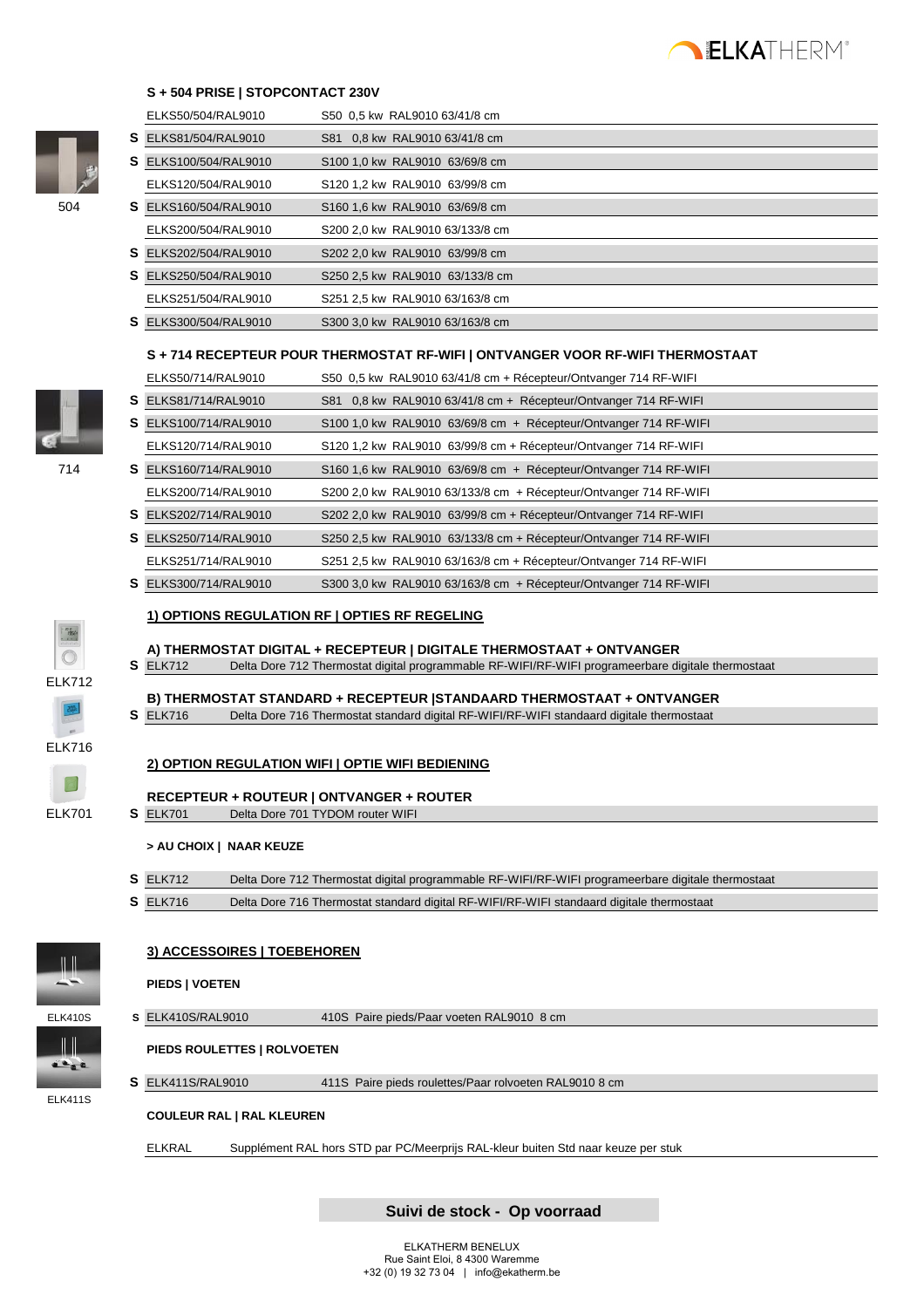

#### **S + 504 PRISE | STOPCONTACT 230V**



|                             |   | ELKS50/504/RAL9010                       | S50 0.5 kw RAL9010 63/41/8 cm                                                                                                                                              |
|-----------------------------|---|------------------------------------------|----------------------------------------------------------------------------------------------------------------------------------------------------------------------------|
|                             |   | S ELKS81/504/RAL9010                     | S81 0,8 kw RAL9010 63/41/8 cm                                                                                                                                              |
|                             |   | S ELKS100/504/RAL9010                    | S100 1,0 kw RAL9010 63/69/8 cm                                                                                                                                             |
|                             |   | ELKS120/504/RAL9010                      | S120 1,2 kw RAL9010 63/99/8 cm                                                                                                                                             |
| 504                         |   | S ELKS160/504/RAL9010                    | S160 1,6 kw RAL9010 63/69/8 cm                                                                                                                                             |
|                             |   | ELKS200/504/RAL9010                      | S200 2,0 kw RAL9010 63/133/8 cm                                                                                                                                            |
|                             |   | S ELKS202/504/RAL9010                    | S202 2,0 kw RAL9010 63/99/8 cm                                                                                                                                             |
|                             |   | S ELKS250/504/RAL9010                    | S250 2,5 kw RAL9010 63/133/8 cm                                                                                                                                            |
|                             |   | ELKS251/504/RAL9010                      | S251 2,5 kw RAL9010 63/163/8 cm                                                                                                                                            |
|                             |   | S ELKS300/504/RAL9010                    | S300 3,0 kw RAL9010 63/163/8 cm                                                                                                                                            |
|                             |   |                                          | S + 714 RECEPTEUR POUR THERMOSTAT RF-WIFI   ONTVANGER VOOR RF-WIFI THERMOSTAAT                                                                                             |
|                             |   | ELKS50/714/RAL9010                       | S50 0,5 kw RAL9010 63/41/8 cm + Récepteur/Ontvanger 714 RF-WIFI                                                                                                            |
|                             |   | S ELKS81/714/RAL9010                     | S81 0,8 kw RAL9010 63/41/8 cm + Récepteur/Ontvanger 714 RF-WIFI                                                                                                            |
|                             |   | S ELKS100/714/RAL9010                    | S100 1,0 kw RAL9010 63/69/8 cm + Récepteur/Ontvanger 714 RF-WIFI                                                                                                           |
|                             |   | ELKS120/714/RAL9010                      |                                                                                                                                                                            |
| 714                         |   | S ELKS160/714/RAL9010                    | S120 1,2 kw RAL9010 63/99/8 cm + Récepteur/Ontvanger 714 RF-WIFI                                                                                                           |
|                             |   |                                          | S160 1,6 kw RAL9010 63/69/8 cm + Récepteur/Ontvanger 714 RF-WIFI                                                                                                           |
|                             |   | ELKS200/714/RAL9010                      | S200 2,0 kw RAL9010 63/133/8 cm + Récepteur/Ontvanger 714 RF-WIFI                                                                                                          |
|                             |   | S ELKS202/714/RAL9010                    | S202 2,0 kw RAL9010 63/99/8 cm + Récepteur/Ontvanger 714 RF-WIFI                                                                                                           |
|                             |   | S ELKS250/714/RAL9010                    | S250 2,5 kw RAL9010 63/133/8 cm + Récepteur/Ontvanger 714 RF-WIFI                                                                                                          |
|                             |   | ELKS251/714/RAL9010                      | S251 2,5 kw RAL9010 63/163/8 cm + Récepteur/Ontvanger 714 RF-WIFI                                                                                                          |
|                             |   | S ELKS300/714/RAL9010                    | S300 3,0 kw RAL9010 63/163/8 cm + Récepteur/Ontvanger 714 RF-WIFI                                                                                                          |
|                             |   |                                          | 1) OPTIONS REGULATION RF   OPTIES RF REGELING                                                                                                                              |
|                             |   |                                          |                                                                                                                                                                            |
|                             |   |                                          |                                                                                                                                                                            |
|                             |   | <b>S</b> ELK712                          | A) THERMOSTAT DIGITAL + RECEPTEUR   DIGITALE THERMOSTAAT + ONTVANGER<br>Delta Dore 712 Thermostat digital programmable RF-WIFI/RF-WIFI programeerbare digitale thermostaat |
| <b>ELK712</b>               |   |                                          |                                                                                                                                                                            |
|                             |   | <b>S</b> ELK716                          | B) THERMOSTAT STANDARD + RECEPTEUR   STANDAARD THERMOSTAAT + ONTVANGER                                                                                                     |
|                             |   |                                          | Delta Dore 716 Thermostat standard digital RF-WIFI/RF-WIFI standaard digitale thermostaat                                                                                  |
| <b>ELK716</b>               |   |                                          |                                                                                                                                                                            |
|                             |   |                                          | 2) OPTION REGULATION WIFI   OPTIE WIFI BEDIENING                                                                                                                           |
|                             |   | RECEPTEUR + ROUTEUR   ONTVANGER + ROUTER |                                                                                                                                                                            |
| <b>ELK701</b>               |   | <b>S</b> ELK701                          | Delta Dore 701 TYDOM router WIFI                                                                                                                                           |
|                             |   | > AU CHOIX   NAAR KEUZE                  |                                                                                                                                                                            |
|                             |   | <b>S</b> ELK712                          | Delta Dore 712 Thermostat digital programmable RF-WIFI/RF-WIFI programeerbare digitale thermostaat                                                                         |
|                             |   | <b>S</b> ELK716                          | Delta Dore 716 Thermostat standard digital RF-WIFI/RF-WIFI standaard digitale thermostaat                                                                                  |
|                             |   |                                          |                                                                                                                                                                            |
|                             |   | 3) ACCESSOIRES   TOEBEHOREN              |                                                                                                                                                                            |
|                             |   |                                          |                                                                                                                                                                            |
|                             |   | PIEDS   VOETEN                           |                                                                                                                                                                            |
| <b>ELK410S</b>              |   | S ELK410S/RAL9010                        | 410S Paire pieds/Paar voeten RAL9010 8 cm                                                                                                                                  |
| $\mathbf{a}$ , $\mathbf{c}$ |   | PIEDS ROULETTES   ROLVOETEN              |                                                                                                                                                                            |
|                             | S | ELK411S/RAL9010                          | 411S Paire pieds roulettes/Paar rolvoeten RAL9010 8 cm                                                                                                                     |
| <b>ELK411S</b>              |   | <b>COULEUR RAL   RAL KLEUREN</b>         |                                                                                                                                                                            |
|                             |   | <b>ELKRAL</b>                            | Supplément RAL hors STD par PC/Meerprijs RAL-kleur buiten Std naar keuze per stuk                                                                                          |

 **Suivi de stock - Op voorraad**

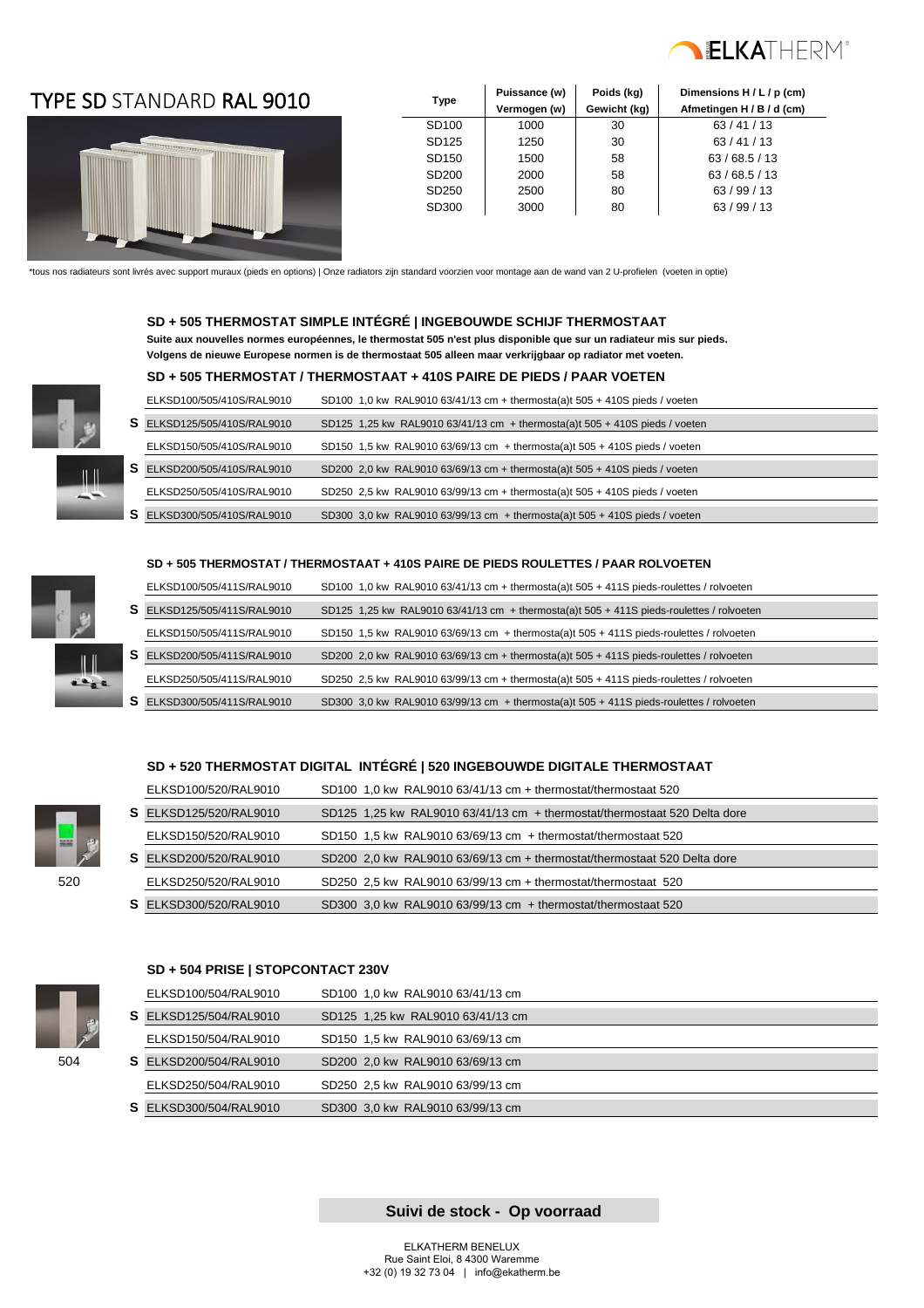

### TYPE SD **Type** STANDARD RAL 9010



| <b>Type</b>       | Puissance (w) | Poids (kg)   | Dimensions H / L / p (cm) |
|-------------------|---------------|--------------|---------------------------|
|                   | Vermogen (w)  | Gewicht (kg) | Afmetingen H / B / d (cm) |
| SD <sub>100</sub> | 1000          | 30           | 63/41/13                  |
| SD125             | 1250          | 30           | 63/41/13                  |
| SD <sub>150</sub> | 1500          | 58           | 63/68.5/13                |
| SD <sub>200</sub> | 2000          | 58           | 63/68.5/13                |
| SD <sub>250</sub> | 2500          | 80           | 63/99/13                  |
| SD300             | 3000          | 80           | 63/99/13                  |
|                   |               |              |                           |

\*tous nos radiateurs sont livrés avec support muraux (pieds en options) | Onze radiators zijn standard voorzien voor montage aan de wand van 2 U-profielen (voeten in optie)

#### **SD + 505 THERMOSTAT SIMPLE INTÉGRÉ | INGEBOUWDE SCHIJF THERMOSTAAT**

 **Suite aux nouvelles normes européennes, le thermostat 505 n'est plus disponible que sur un radiateur mis sur pieds. Volgens de nieuwe Europese normen is de thermostaat 505 alleen maar verkrijgbaar op radiator met voeten.**

#### **SD + 505 THERMOSTAT / THERMOSTAAT + 410S PAIRE DE PIEDS / PAAR VOETEN**

| ELKSD100/505/410S/RAL9010          | SD100 1,0 kw RAL9010 63/41/13 cm + thermosta(a)t 505 + 410S pieds / voeten    |  |
|------------------------------------|-------------------------------------------------------------------------------|--|
| <b>S</b> ELKSD125/505/410S/RAL9010 | SD125 1,25 kw RAL9010 63/41/13 cm + thermosta(a)t $505 + 410S$ pieds / voeten |  |
| ELKSD150/505/410S/RAL9010          | SD150 1,5 kw RAL9010 63/69/13 cm + thermosta(a)t 505 + 410S pieds / voeten    |  |
| S ELKSD200/505/410S/RAL9010        | SD200 2.0 kw RAL9010 63/69/13 cm + thermosta(a)t $505 + 410S$ pieds / voeten  |  |
| ELKSD250/505/410S/RAL9010          | SD250 2.5 kw RAL9010 63/99/13 cm + thermosta(a)t $505 + 410S$ pieds / voeten  |  |
| ELKSD300/505/410S/RAL9010          | SD300 3.0 kw RAL9010 63/99/13 cm + thermosta(a)t $505 + 410S$ pieds / voeten  |  |

#### **SD + 505 THERMOSTAT / THERMOSTAAT + 410S PAIRE DE PIEDS ROULETTES / PAAR ROLVOETEN**

|   | ELKSD100/505/411S/RAL9010 | SD100 1,0 kw RAL9010 63/41/13 cm + thermosta(a)t $505 + 411S$ pieds-roulettes / rolvoeten  |
|---|---------------------------|--------------------------------------------------------------------------------------------|
| s | ELKSD125/505/411S/RAL9010 | SD125 1,25 kw RAL9010 63/41/13 cm $+$ thermosta(a)t 505 + 411S pieds-roulettes / rolvoeten |
|   | ELKSD150/505/411S/RAL9010 | SD150 1,5 kw RAL9010 63/69/13 cm + thermosta(a)t 505 + 411S pieds-roulettes / rolvoeten    |
|   | ELKSD200/505/411S/RAL9010 | SD200 2.0 kw RAL9010 63/69/13 cm + thermosta(a)t $505 + 411S$ pieds-roulettes / rolvoeten  |
|   | ELKSD250/505/411S/RAL9010 | SD250 2,5 kw RAL9010 63/99/13 cm + thermosta(a)t $505 + 411S$ pieds-roulettes / rolvoeten  |
|   | ELKSD300/505/411S/RAL9010 | SD300 3,0 kw RAL9010 63/99/13 cm + thermosta(a)t $505 + 411$ S pieds-roulettes / rolvoeten |

#### **SD + 520 THERMOSTAT DIGITAL INTÉGRÉ | 520 INGEBOUWDE DIGITALE THERMOSTAAT**

|             | ELKSD100/520/RAL9010          | SD100 1.0 kw RAL9010 63/41/13 cm + thermostat/thermostaat 520             |  |
|-------------|-------------------------------|---------------------------------------------------------------------------|--|
|             | <b>S</b> ELKSD125/520/RAL9010 | SD125 1.25 kw RAL9010 63/41/13 cm + thermostat/thermostaat 520 Delta dore |  |
| <b>HALL</b> | ELKSD150/520/RAL9010          | SD150 1.5 kw RAL9010 63/69/13 cm + thermostat/thermostaat 520             |  |
|             | <b>S</b> ELKSD200/520/RAL9010 | SD200 2.0 kw RAL9010 63/69/13 cm + thermostat/thermostaat 520 Delta dore  |  |
| 520         | ELKSD250/520/RAL9010          | SD250 2,5 kw RAL9010 63/99/13 cm + thermostat/thermostaat 520             |  |
|             | <b>S</b> ELKSD300/520/RAL9010 | SD300 3,0 kw RAL9010 63/99/13 cm + thermostat/thermostaat 520             |  |

### **SD + 504 PRISE | STOPCONTACT 230V**

|     | ELKSD100/504/RAL9010          | SD100 1.0 kw RAL9010 63/41/13 cm  |
|-----|-------------------------------|-----------------------------------|
|     | <b>S</b> ELKSD125/504/RAL9010 | SD125 1,25 kw RAL9010 63/41/13 cm |
|     | ELKSD150/504/RAL9010          | SD150 1.5 kw RAL9010 63/69/13 cm  |
| 504 | <b>S</b> ELKSD200/504/RAL9010 | SD200 2.0 kw RAL9010 63/69/13 cm  |
|     | ELKSD250/504/RAL9010          | SD250 2.5 kw RAL9010 63/99/13 cm  |
|     | <b>S</b> ELKSD300/504/RAL9010 | SD300 3.0 kw RAL9010 63/99/13 cm  |







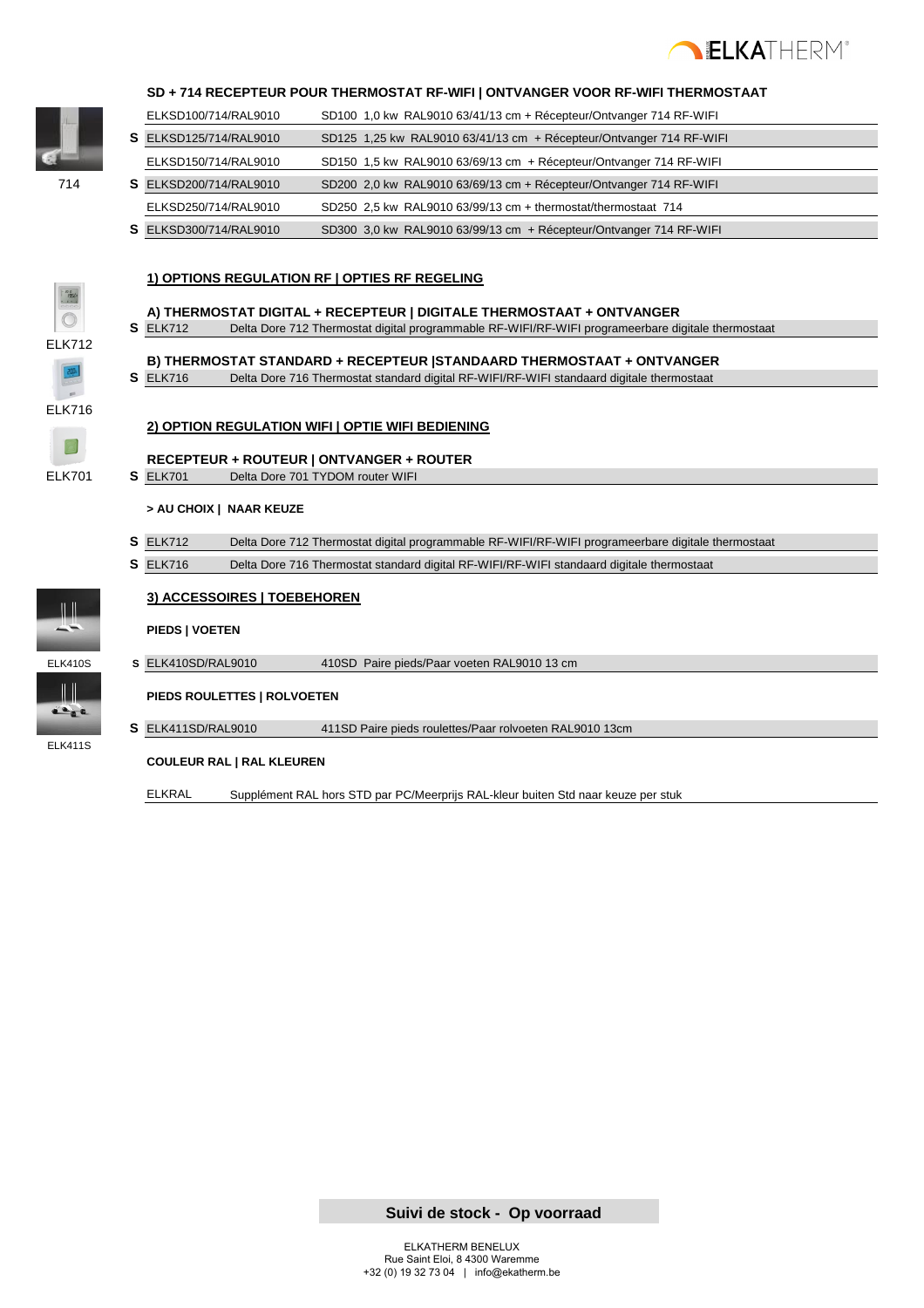

#### **SD + 714 RECEPTEUR POUR THERMOSTAT RF-WIFI | ONTVANGER VOOR RF-WIFI THERMOSTAAT**

|     |              | ELKSD100/714/RAL9010   | SD100 1,0 kw RAL9010 63/41/13 cm + Récepteur/Ontvanger 714 RF-WIFI  |
|-----|--------------|------------------------|---------------------------------------------------------------------|
|     |              | S ELKSD125/714/RAL9010 | SD125 1,25 kw RAL9010 63/41/13 cm + Récepteur/Ontvanger 714 RF-WIFI |
|     |              | ELKSD150/714/RAL9010   | SD150 1,5 kw RAL9010 63/69/13 cm + Récepteur/Ontvanger 714 RF-WIFI  |
| 714 |              | S ELKSD200/714/RAL9010 | SD200 2,0 kw RAL9010 63/69/13 cm + Récepteur/Ontvanger 714 RF-WIFI  |
|     |              | ELKSD250/714/RAL9010   | SD250 2.5 kw RAL9010 63/99/13 cm + thermostat/thermostaat 714       |
|     | $\mathbf{C}$ | F112000007410110010    | $ODOOO, O.L$ $DALOOAO, CO/OO/LO,$ $D1$ $D1$                         |

**S** ELKSD300/714/RAL9010 SD300 3,0 kw RAL9010 63/99/13 cm + Récepteur/Ontvanger 714 RF-WIFI





- **A) THERMOSTAT DIGITAL + RECEPTEUR | DIGITALE THERMOSTAAT + ONTVANGER S** ELK712 Delta Dore 712 Thermostat digital programmable RF-WIFI/RF-WIFI programeerbare digitale thermostaat
	- **B) THERMOSTAT STANDARD + RECEPTEUR |STANDAARD THERMOSTAAT + ONTVANGER S** ELK716 Delta Dore 716 Thermostat standard digital RF-WIFI/RF-WIFI standaard digitale thermostaat

**2) OPTION REGULATION WIFI | OPTIE WIFI BEDIENING**

 $\textcolor{red}{\blacksquare}$ 

ELK716

**RECEPTEUR + ROUTEUR | ONTVANGER + ROUTER**

ELK701 **S** ELK701 Delta Dore 701 TYDOM router WIFI

#### **> AU CHOIX | NAAR KEUZE**

- **S** ELK712 Delta Dore 712 Thermostat digital programmable RF-WIFI/RF-WIFI programeerbare digitale thermostaat
- **S** ELK716 Delta Dore 716 Thermostat standard digital RF-WIFI/RF-WIFI standaard digitale thermostaat



#### **3) ACCESSOIRES | TOEBEHOREN**

#### **PIEDS | VOETEN**



ELK411S

 $\frac{1}{2}$ 

ELK410S **S** ELK410SD/RAL9010 410SD Paire pieds/Paar voeten RAL9010 13 cm

**PIEDS ROULETTES | ROLVOETEN**

**S** ELK411SD/RAL9010 411SD Paire pieds roulettes/Paar rolvoeten RAL9010 13cm

#### **COULEUR RAL | RAL KLEUREN**

ELKRAL Supplément RAL hors STD par PC/Meerprijs RAL-kleur buiten Std naar keuze per stuk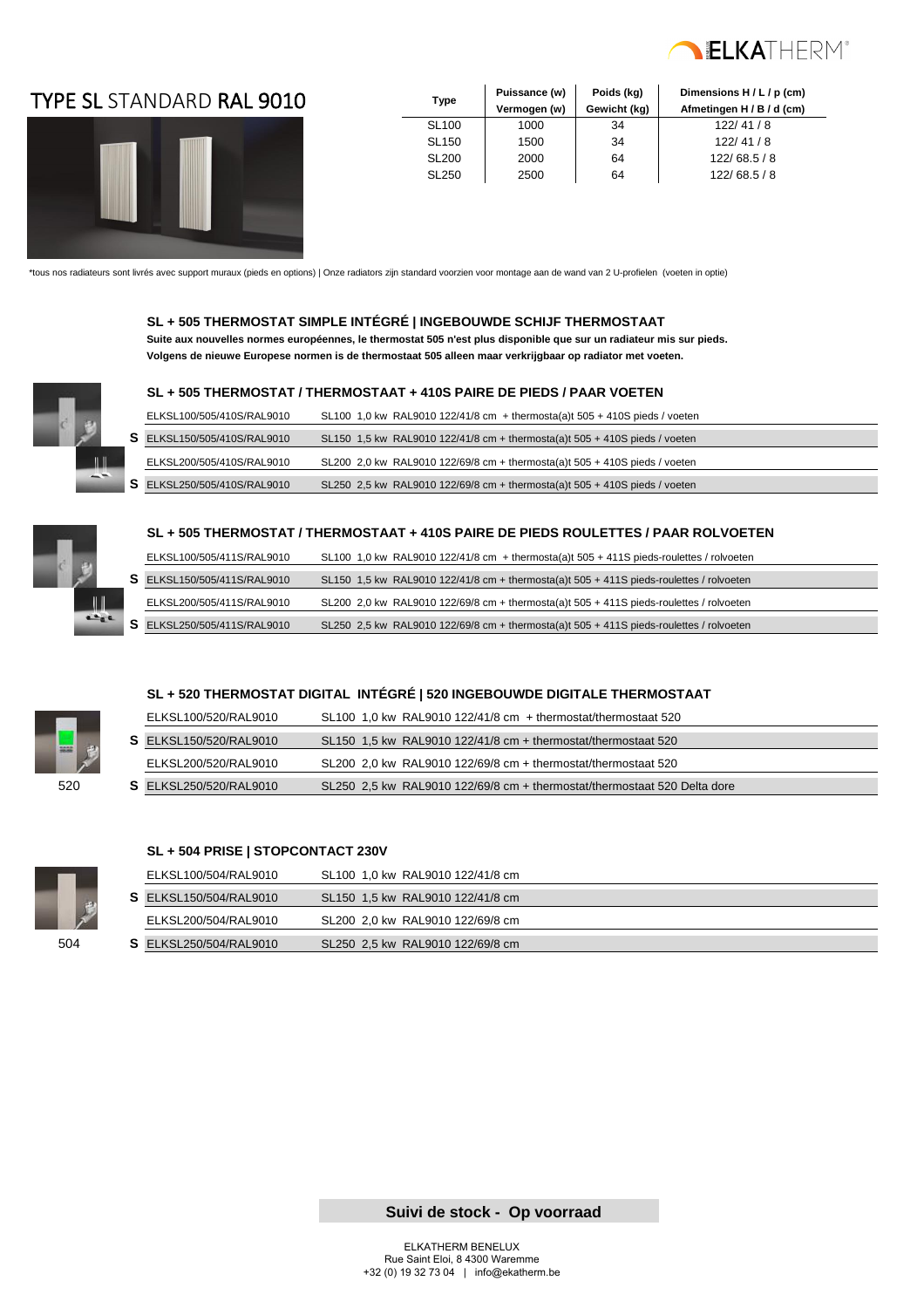

### TYPE SL **Type** STANDARD RAL 9010



| <b>Type</b>  | Puissance (w) | Poids (kg)   | Dimensions H / L / p (cm) |
|--------------|---------------|--------------|---------------------------|
|              | Vermogen (w)  | Gewicht (kg) | Afmetingen H / B / d (cm) |
| <b>SL100</b> | 1000          | 34           | 122/41/8                  |
| <b>SL150</b> | 1500          | 34           | 122/41/8                  |
| <b>SL200</b> | 2000          | 64           | 122/68.5/8                |
| <b>SL250</b> | 2500          | 64           | 122/68.5/8                |

\*tous nos radiateurs sont livrés avec support muraux (pieds en options) | Onze radiators zijn standard voorzien voor montage aan de wand van 2 U-profielen (voeten in optie)

#### **SL + 505 THERMOSTAT SIMPLE INTÉGRÉ | INGEBOUWDE SCHIJF THERMOSTAAT**

 **Suite aux nouvelles normes européennes, le thermostat 505 n'est plus disponible que sur un radiateur mis sur pieds. Volgens de nieuwe Europese normen is de thermostaat 505 alleen maar verkrijgbaar op radiator met voeten.**



#### **SL + 505 THERMOSTAT / THERMOSTAAT + 410S PAIRE DE PIEDS / PAAR VOETEN**

| ELKSL100/505/410S/RAL9010   | SL100 1,0 kw RAL9010 122/41/8 cm + thermosta(a)t 505 + 410S pieds / voeten   |
|-----------------------------|------------------------------------------------------------------------------|
| S ELKSL150/505/410S/RAL9010 | SL150 1.5 kw RAL9010 122/41/8 cm + thermosta(a)t $505 + 410S$ pieds / voeten |
| ELKSL200/505/410S/RAL9010   | SL200 2.0 kw RAL9010 122/69/8 cm + thermosta(a)t $505 + 410S$ pieds / voeten |
| S ELKSL250/505/410S/RAL9010 | SL250 2.5 kw RAL9010 122/69/8 cm + thermosta(a)t $505 + 410S$ pieds / voeten |



#### **SL + 505 THERMOSTAT / THERMOSTAAT + 410S PAIRE DE PIEDS ROULETTES / PAAR ROLVOETEN**

| ELKSL100/505/411S/RAL9010          | SL100 1.0 kw RAL9010 122/41/8 cm + thermosta(a)t $505 + 411S$ pieds-roulettes / rolvoeten |
|------------------------------------|-------------------------------------------------------------------------------------------|
| S ELKSL150/505/411S/RAL9010        | SL150 1,5 kw RAL9010 122/41/8 cm + thermosta(a)t $505 + 411S$ pieds-roulettes / rolvoeten |
| ELKSL200/505/411S/RAL9010          | SL200 2.0 kw RAL9010 122/69/8 cm + thermosta(a)t 505 + 411S pieds-roulettes / rolvoeten   |
| <b>S</b> ELKSL250/505/411S/RAL9010 | SL250 2,5 kw RAL9010 122/69/8 cm + thermosta(a)t $505 + 411S$ pieds-roulettes / rolvoeten |

#### **SL + 520 THERMOSTAT DIGITAL INTÉGRÉ | 520 INGEBOUWDE DIGITALE THERMOSTAAT**

|            | ELKSL100/520/RAL9010          | SL100 1.0 kw RAL9010 122/41/8 cm $+$ thermostat/thermostaat 520          |
|------------|-------------------------------|--------------------------------------------------------------------------|
| <b>HAR</b> | <b>S</b> ELKSL150/520/RAL9010 | SL150 1.5 kw RAL9010 122/41/8 cm + thermostat/thermostaat 520            |
|            | ELKSL200/520/RAL9010          | SL200 2.0 kw RAL9010 122/69/8 cm + thermostat/thermostaat 520            |
| 520        | <b>S</b> ELKSL250/520/RAL9010 | SL250 2.5 kw RAL9010 122/69/8 cm + thermostat/thermostaat 520 Delta dore |



#### **SL + 504 PRISE | STOPCONTACT 230V**

|     | ELKSL100/504/RAL9010          | SL100 1.0 kw RAL9010 122/41/8 cm |
|-----|-------------------------------|----------------------------------|
|     | <b>S</b> ELKSL150/504/RAL9010 | SL150 1.5 kw RAL9010 122/41/8 cm |
|     | ELKSL200/504/RAL9010          | SL200 2.0 kw RAL9010 122/69/8 cm |
| 504 | <b>S</b> ELKSL250/504/RAL9010 | SL250 2.5 kw RAL9010 122/69/8 cm |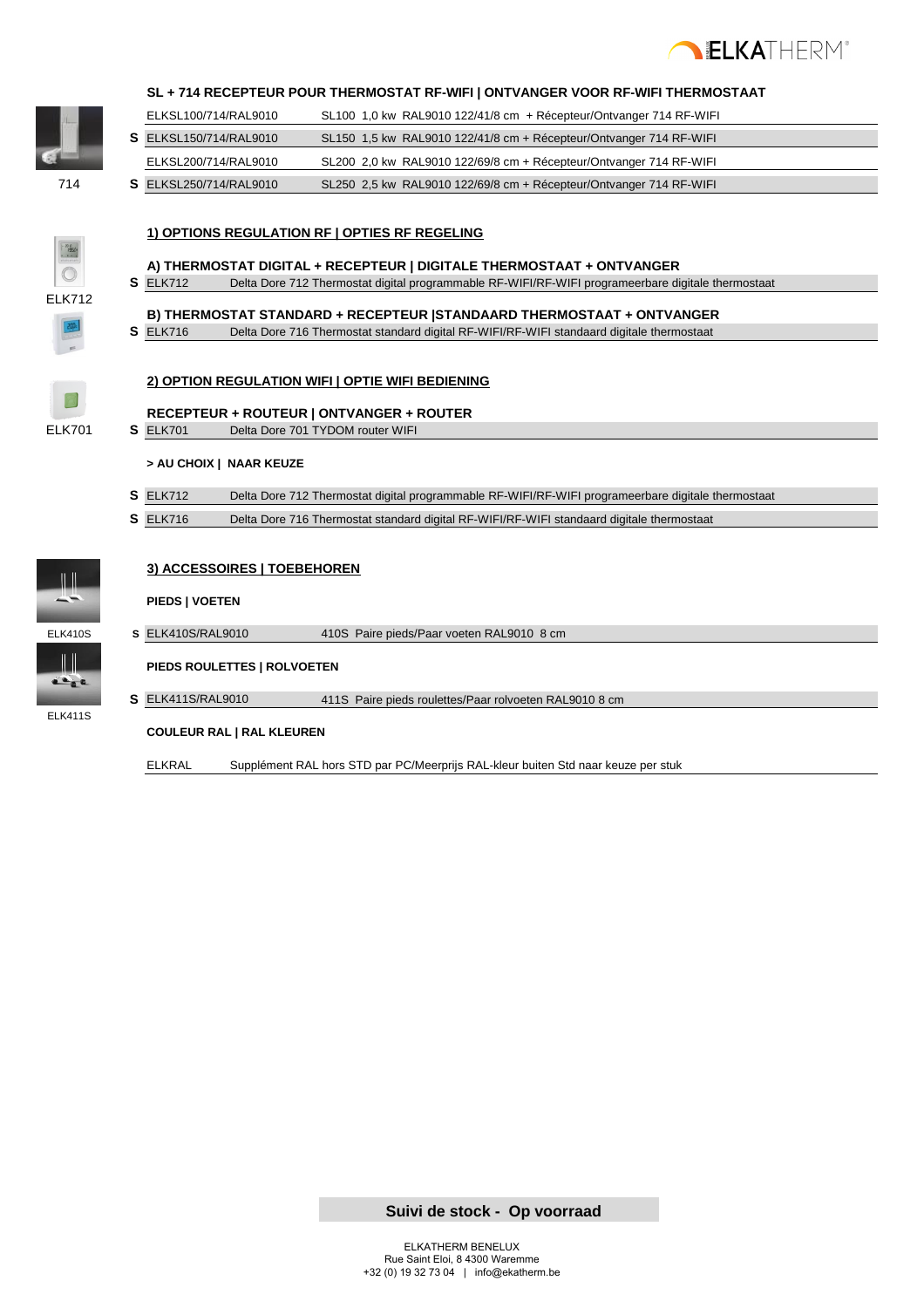



#### **SL + 714 RECEPTEUR POUR THERMOSTAT RF-WIFI | ONTVANGER VOOR RF-WIFI THERMOSTAAT**

|     | ELKSL100/714/RAL9010          | $SL100$ 1,0 kw RAL9010 122/41/8 cm + Récepteur/Ontvanger 714 RF-WIFI |  |
|-----|-------------------------------|----------------------------------------------------------------------|--|
|     | <b>S</b> ELKSL150/714/RAL9010 | SL150 1.5 kw RAL9010 122/41/8 cm + Récepteur/Ontvanger 714 RF-WIFI   |  |
|     | ELKSL200/714/RAL9010          | SL200 2,0 kw RAL9010 122/69/8 cm + Récepteur/Ontvanger 714 RF-WIFI   |  |
| 714 | <b>S</b> ELKSL250/714/RAL9010 | SL250 2,5 kw RAL9010 122/69/8 cm + Récepteur/Ontvanger 714 RF-WIFI   |  |

#### **1) OPTIONS REGULATION RF | OPTIES RF REGELING**

**A) THERMOSTAT DIGITAL + RECEPTEUR | DIGITALE THERMOSTAAT + ONTVANGER** 

**S** ELK712 Delta Dore 712 Thermostat digital programmable RF-WIFI/RF-WIFI programeerbare digitale thermostaat

### **B) THERMOSTAT STANDARD + RECEPTEUR |STANDAARD THERMOSTAAT + ONTVANGER**

**S** ELK716 Delta Dore 716 Thermostat standard digital RF-WIFI/RF-WIFI standaard digitale thermostaat

#### **2) OPTION REGULATION WIFI | OPTIE WIFI BEDIENING**



ELK712

**RECEPTEUR + ROUTEUR | ONTVANGER + ROUTER** ELK701 **S** ELK701 Delta Dore 701 TYDOM router WIFI

#### **> AU CHOIX | NAAR KEUZE**

- **S** ELK712 Delta Dore 712 Thermostat digital programmable RF-WIFI/RF-WIFI programeerbare digitale thermostaat
- **S** ELK716 Delta Dore 716 Thermostat standard digital RF-WIFI/RF-WIFI standaard digitale thermostaat



#### **3) ACCESSOIRES | TOEBEHOREN**

#### **PIEDS | VOETEN**





ELK411S

**PIEDS ROULETTES | ROLVOETEN**

**S** ELK411S/RAL9010 411S Paire pieds roulettes/Paar rolvoeten RAL9010 8 cm

#### **COULEUR RAL | RAL KLEUREN**

ELKRAL Supplément RAL hors STD par PC/Meerprijs RAL-kleur buiten Std naar keuze per stuk

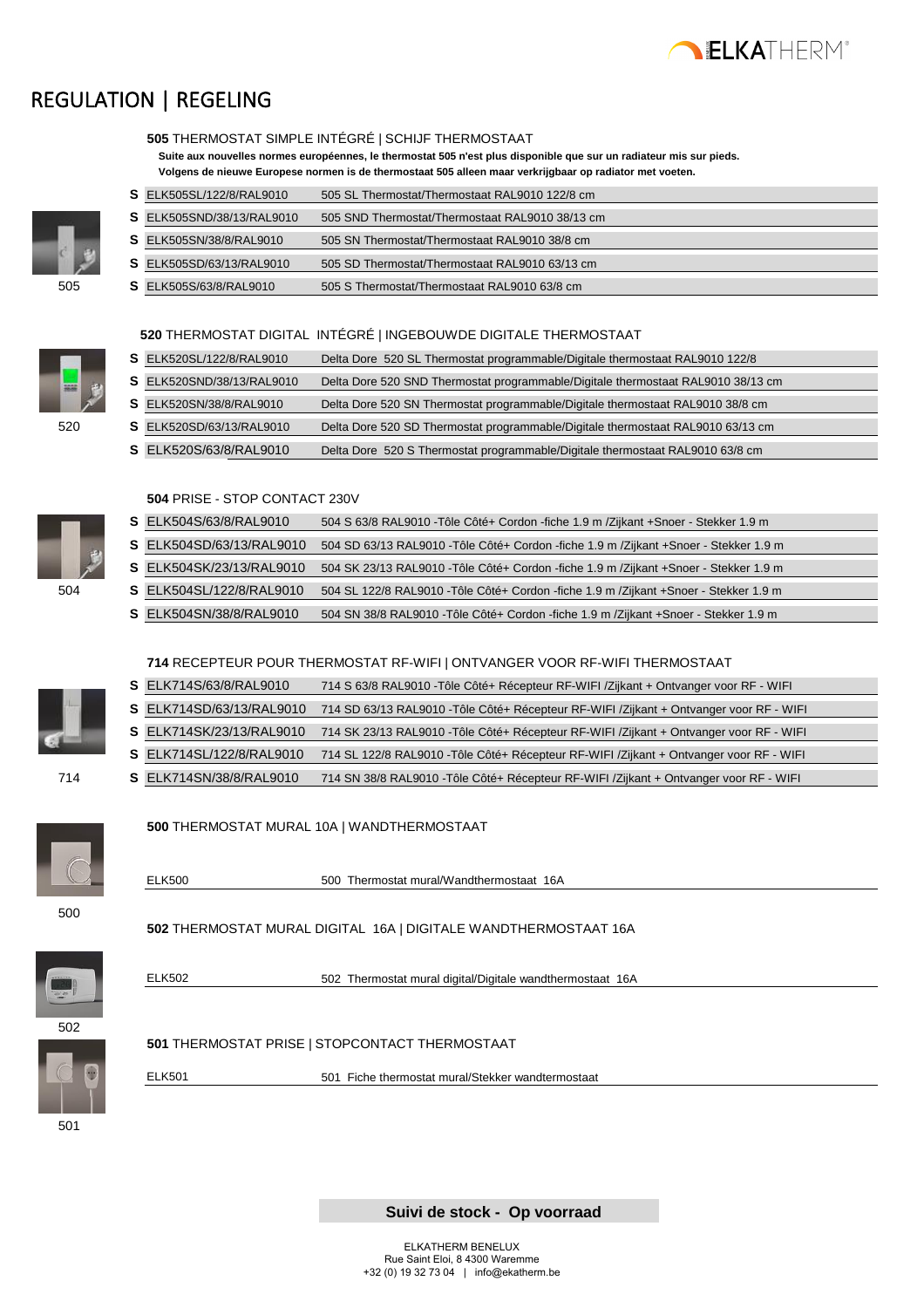

### REGULATION | REGELING



|                                 | Suite aux nouvelles normes européennes, le thermostat 505 n'est plus disponible que sur un radiateur mis sur pieds.<br>Volgens de nieuwe Europese normen is de thermostaat 505 alleen maar verkrijgbaar op radiator met voeten. |
|---------------------------------|---------------------------------------------------------------------------------------------------------------------------------------------------------------------------------------------------------------------------------|
| <b>S</b> ELK505SL/122/8/RAL9010 | 505 SL Thermostat/Thermostaat RAL9010 122/8 cm                                                                                                                                                                                  |
| S ELK505SND/38/13/RAL9010       | 505 SND Thermostat/Thermostaat RAL9010 38/13 cm                                                                                                                                                                                 |
| <b>S</b> ELK505SN/38/8/RAL9010  | 505 SN Thermostat/Thermostaat RAL9010 38/8 cm                                                                                                                                                                                   |
| <b>S</b> ELK505SD/63/13/RAL9010 | 505 SD Thermostat/Thermostaat RAL9010 63/13 cm                                                                                                                                                                                  |

505 **S** ELK505S/63/8/RAL9010 505 S Thermostat/Thermostaat RAL9010 63/8 cm

 **505** THERMOSTAT SIMPLE INTÉGRÉ | SCHIJF THERMOSTAAT

#### **520** THERMOSTAT DIGITAL INTÉGRÉ | INGEBOUWDE DIGITALE THERMOSTAAT

|     | S ELK520SL/122/8/RAL9010  | Delta Dore 520 SL Thermostat programmable/Digitale thermostaat RAL9010 122/8     |
|-----|---------------------------|----------------------------------------------------------------------------------|
| ᆖᇦ  | S ELK520SND/38/13/RAL9010 | Delta Dore 520 SND Thermostat programmable/Digitale thermostaat RAL9010 38/13 cm |
|     | S ELK520SN/38/8/RAL9010   | Delta Dore 520 SN Thermostat programmable/Digitale thermostaat RAL9010 38/8 cm   |
| 520 | S ELK520SD/63/13/RAL9010  | Delta Dore 520 SD Thermostat programmable/Digitale thermostaat RAL9010 63/13 cm  |
|     | S ELK520S/63/8/RAL9010    | Delta Dore 520 S Thermostat programmable/Digitale thermostaat RAL9010 63/8 cm    |

#### **504** PRISE - STOP CONTACT 230V



|     | S ELK504S/63/8/RAL9010   | 504 S 63/8 RAL9010 - Tôle Côté+ Cordon - fiche 1.9 m / Zijkant + Snoer - Stekker 1.9 m   |
|-----|--------------------------|------------------------------------------------------------------------------------------|
|     | S ELK504SD/63/13/RAL9010 | 504 SD 63/13 RAL9010 - Tôle Côté+ Cordon - fiche 1.9 m / Zijkant + Snoer - Stekker 1.9 m |
|     |                          |                                                                                          |
|     | S ELK504SK/23/13/RAL9010 | 504 SK 23/13 RAL9010 - Tôle Côté+ Cordon - fiche 1.9 m / Zijkant + Snoer - Stekker 1.9 m |
| 504 | S ELK504SL/122/8/RAL9010 | 504 SL 122/8 RAL9010 - Tôle Côté+ Cordon - fiche 1.9 m / Zijkant + Snoer - Stekker 1.9 m |
|     | S ELK504SN/38/8/RAL9010  | 504 SN 38/8 RAL9010 - Tôle Côté+ Cordon - fiche 1.9 m / Zijkant + Snoer - Stekker 1.9 m  |
|     |                          |                                                                                          |

#### **714** RECEPTEUR POUR THERMOSTAT RF-WIFI | ONTVANGER VOOR RF-WIFI THERMOSTAAT

| S ELK714S/63/8/RAL9010   | 714 S 63/8 RAL9010 - Tôle Côté+ Récepteur RF-WIFI / Zijkant + Ontvanger voor RF - WIFI    |
|--------------------------|-------------------------------------------------------------------------------------------|
| S ELK714SD/63/13/RAL9010 | 714 SD 63/13 RAL9010 - Tôle Côté + Récepteur RF-WIFI / Zijkant + Ontvanger voor RF - WIFI |
| S ELK714SK/23/13/RAL9010 | 714 SK 23/13 RAL9010 - Tôle Côté + Récepteur RF-WIFI / Zijkant + Ontvanger voor RF - WIFI |
| S ELK714SL/122/8/RAL9010 | 714 SL 122/8 RAL9010 - Tôle Côté+ Récepteur RF-WIFI / Zijkant + Ontvanger voor RF - WIFI  |
| S ELK714SN/38/8/RAL9010  | 714 SN 38/8 RAL9010 - Tôle Côté+ Récepteur RF-WIFI / Zijkant + Ontvanger voor RF - WIFI   |
|                          |                                                                                           |
|                          |                                                                                           |



#### **500** THERMOSTAT MURAL 10A | WANDTHERMOSTAAT

ELK500 500 Thermostat mural/Wandthermostaat 16A



 **502** THERMOSTAT MURAL DIGITAL 16A | DIGITALE WANDTHERMOSTAAT 16A



ELK502 502 Thermostat mural digital/Digitale wandthermostaat 16A



 **501** THERMOSTAT PRISE | STOPCONTACT THERMOSTAAT



ELK501 501 Fiche thermostat mural/Stekker wandtermostaat

501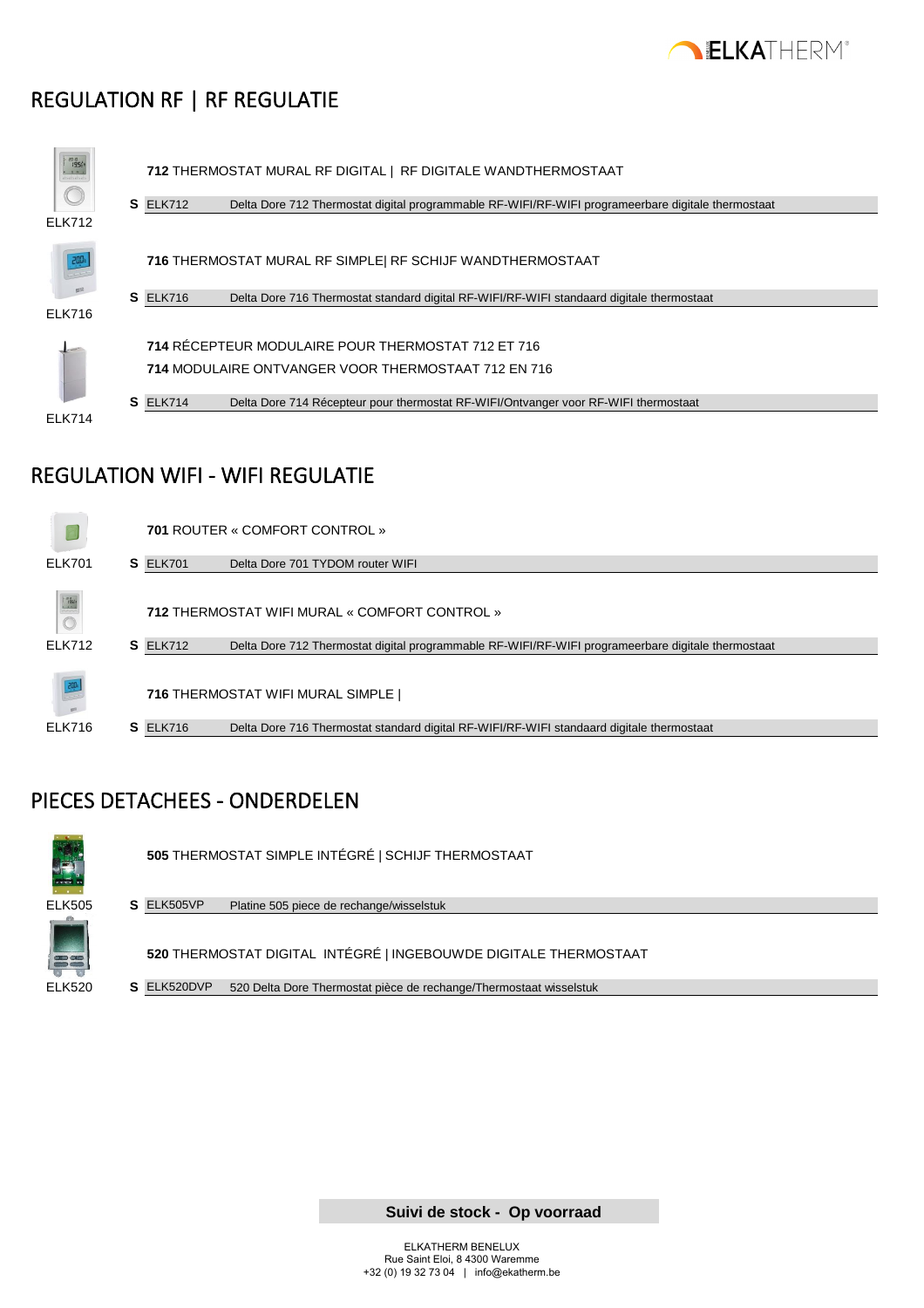

### REGULATION RF | RF REGULATIE



### REGULATION WIFI - WIFI REGULATIE



### PIECES DETACHEES - ONDERDELEN



**505** THERMOSTAT SIMPLE INTÉGRÉ | SCHIJF THERMOSTAAT



ELK505 **S** ELK505VP Platine 505 piece de rechange/wisselstuk

**520** THERMOSTAT DIGITAL INTÉGRÉ | INGEBOUWDE DIGITALE THERMOSTAAT

ELK520 **S** ELK520DVP 520 Delta Dore Thermostat pièce de rechange/Thermostaat wisselstuk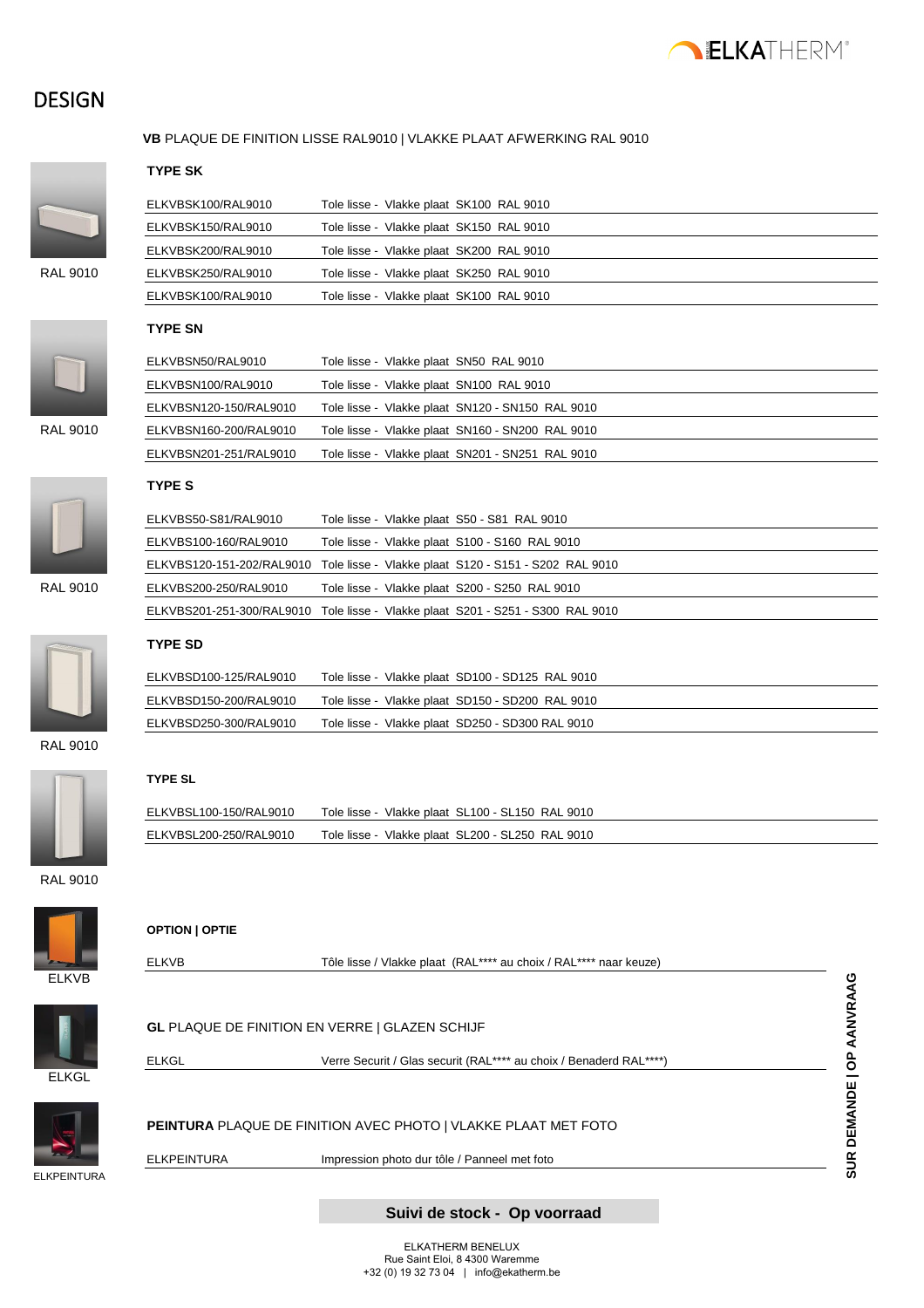

### **DESIGN**



#### **VB** PLAQUE DE FINITION LISSE RAL9010 | VLAKKE PLAAT AFWERKING RAL 9010

#### **TYPE SK**

|                | E |
|----------------|---|
|                | E |
|                | E |
| <b>AL 9010</b> | E |

|          | ELKVBSK100/RAL9010 | Tole lisse - Vlakke plaat SK100 RAL 9010 |
|----------|--------------------|------------------------------------------|
|          | ELKVBSK150/RAL9010 | Tole lisse - Vlakke plaat SK150 RAL 9010 |
|          | ELKVBSK200/RAL9010 | Tole lisse - Vlakke plaat SK200 RAL 9010 |
| RAL 9010 | ELKVBSK250/RAL9010 | Tole lisse - Vlakke plaat SK250 RAL 9010 |
|          | ELKVBSK100/RAL9010 | Tole lisse - Vlakke plaat SK100 RAL 9010 |



RAL 9010

### **TYPE SN**

| ELKVBSN50/RAL9010      | Tole lisse - Vlakke plaat SN50 RAL 9010          |
|------------------------|--------------------------------------------------|
| ELKVBSN100/RAL9010     | Tole lisse - Vlakke plaat SN100 RAL 9010         |
| ELKVBSN120-150/RAL9010 | Tole lisse - Vlakke plaat SN120 - SN150 RAL 9010 |
| ELKVBSN160-200/RAL9010 | Tole lisse - Vlakke plaat SN160 - SN200 RAL 9010 |
| ELKVBSN201-251/RAL9010 | Tole lisse - Vlakke plaat SN201 - SN251 RAL 9010 |
|                        |                                                  |



#### **TYPE S**

|          | ELKVBS50-S81/RAL9010  | Tole lisse - Vlakke plaat S50 - S81 RAL 9010                                    |
|----------|-----------------------|---------------------------------------------------------------------------------|
|          | ELKVBS100-160/RAL9010 | Tole lisse - Vlakke plaat S100 - S160 RAL 9010                                  |
|          |                       | ELKVBS120-151-202/RAL9010 Tole lisse - Vlakke plaat S120 - S151 - S202 RAL 9010 |
| RAL 9010 | ELKVBS200-250/RAL9010 | Tole lisse - Vlakke plaat S200 - S250 RAL 9010                                  |
|          |                       | ELKVBS201-251-300/RAL9010 Tole lisse - Vlakke plaat S201 - S251 - S300 RAL 9010 |
|          |                       |                                                                                 |



### **TYPE SD**

| ELKVBSD100-125/RAL9010 | Tole lisse - Vlakke plaat SD100 - SD125 RAL 9010 |
|------------------------|--------------------------------------------------|
| ELKVBSD150-200/RAL9010 | Tole lisse - Vlakke plaat SD150 - SD200 RAL 9010 |
| ELKVBSD250-300/RAL9010 | Tole lisse - Vlakke plaat SD250 - SD300 RAL 9010 |

#### RAL 9010



#### **TYPE SL**

| ELKVBSL100-150/RAL9010 | Tole lisse - Vlakke plaat SL100 - SL150 RAL 9010 |
|------------------------|--------------------------------------------------|
| ELKVBSL200-250/RAL9010 | Tole lisse - Vlakke plaat SL200 - SL250 RAL 9010 |

RAL 9010



| <b>OPTION   OPTIE</b> |
|-----------------------|
|-----------------------|

| Verre Securit / Glas securit (RAL**** au choix / Benaderd RAL****) |
|--------------------------------------------------------------------|
|                                                                    |

ELKVB Tôle lisse / Vlakke plaat (RAL\*\*\*\* au choix / RAL\*\*\*\* naar keuze)



**PEINTURA** PLAQUE DE FINITION AVEC PHOTO | VLAKKE PLAAT MET FOTO

ELKPEINTURA Impression photo dur tôle / Panneel met foto



# **Suivi de stock - Op voorraad**

**SUR DEMANDE | OP AANVRAAG**

SUR DEMANDE | OP AANVRAAG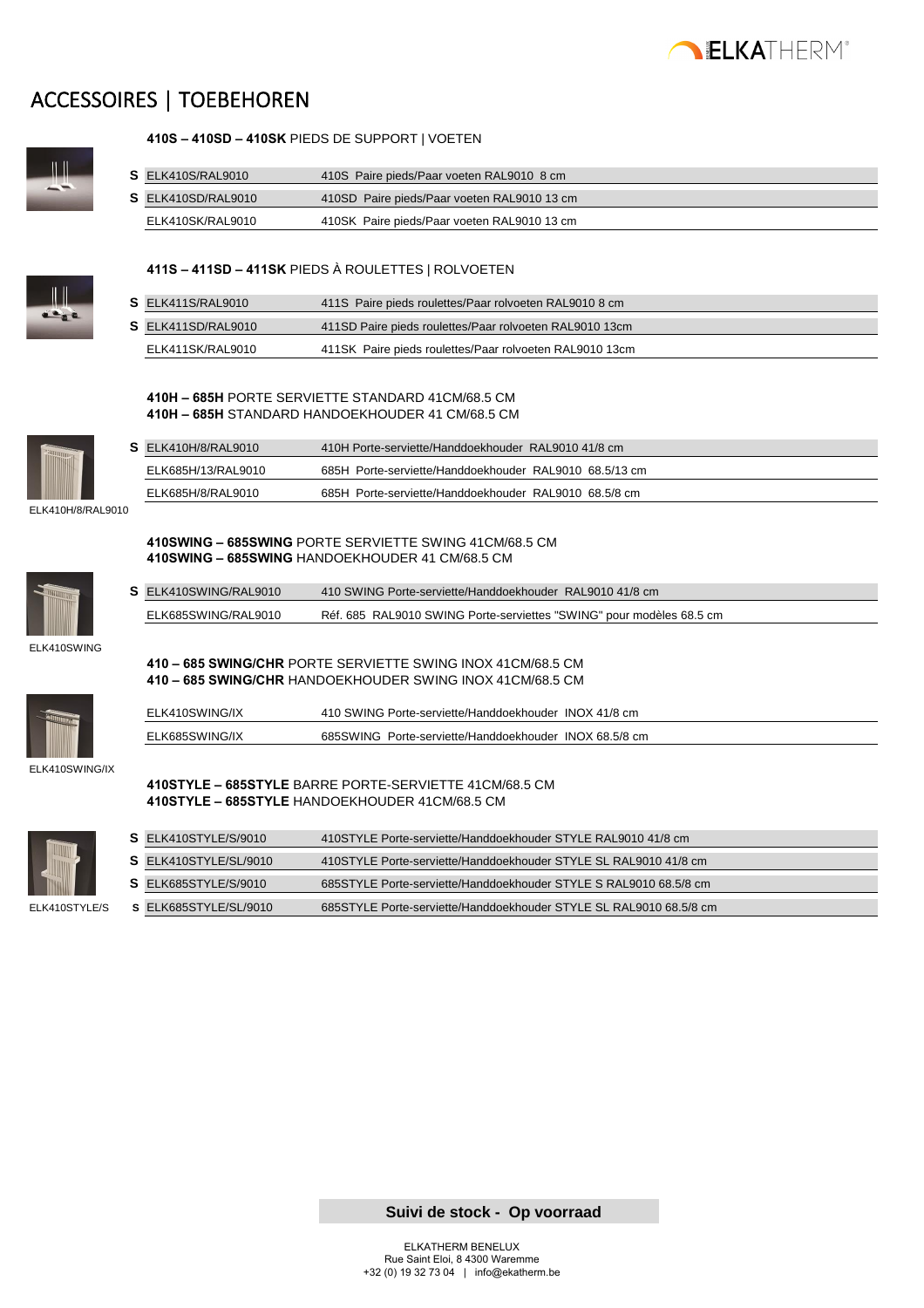

### ACCESSOIRES | TOEBEHOREN



**410S – 410SD – 410SK** PIEDS DE SUPPORT | VOETEN

| $S$ ELK410S/RAL9010 | 410S Paire pieds/Paar voeten RAL9010 8 cm   |
|---------------------|---------------------------------------------|
| S ELK410SD/RAL9010  | 410SD Paire pieds/Paar voeten RAL9010 13 cm |
| ELK410SK/RAL9010    | 410SK Paire pieds/Paar voeten RAL9010 13 cm |



#### **411S – 411SD – 411SK** PIEDS À ROULETTES | ROLVOETEN

| $S$ ELK411S/RAL9010 | 411S Paire pieds roulettes/Paar rolvoeten RAL9010 8 cm  |
|---------------------|---------------------------------------------------------|
| S ELK411SD/RAL9010  | 411SD Paire pieds roulettes/Paar rolvoeten RAL9010 13cm |
| ELK411SK/RAL9010    | 411SK Paire pieds roulettes/Paar rolvoeten RAL9010 13cm |

#### **410H – 685H** PORTE SERVIETTE STANDARD 41CM/68.5 CM **410H – 685H** STANDARD HANDOEKHOUDER 41 CM/68.5 CM

**410SWING – 685SWING** PORTE SERVIETTE SWING 41CM/68.5 CM

**410 – 685 SWING/CHR** PORTE SERVIETTE SWING INOX 41CM/68.5 CM

**S** ELK410SWING/RAL9010 410 SWING Porte-serviette/Handdoekhouder RAL9010 41/8 cm

ELK685SWING/RAL9010 Réf. 685 RAL9010 SWING Porte-serviettes "SWING" pour modèles 68.5 cm

**410SWING – 685SWING** HANDOEKHOUDER 41 CM/68.5 CM



|           | $S$ ELK410H/8/RAL9010 | 410H Porte-serviette/Handdoekhouder RAL9010 41/8 cm    |
|-----------|-----------------------|--------------------------------------------------------|
|           | ELK685H/13/RAL9010    | 685H Porte-serviette/Handdoekhouder RAL9010 68.5/13 cm |
|           | ELK685H/8/RAL9010     | 685H Porte-serviette/Handdoekhouder RAL9010 68.5/8 cm  |
| $\lambda$ |                       |                                                        |

ELK410H/8/RAL9010





|                | 410 - 685 SWING/CHR HANDOEKHOUDER SWING INOX 41CM/68.5 CM |  |  |
|----------------|-----------------------------------------------------------|--|--|
| ELK410SWING/IX | 410 SWING Porte-serviette/Handdoekhouder INOX 41/8 cm     |  |  |
| ELK685SWING/IX | 685SWING Porte-serviette/Handdoekhouder INOX 68.5/8 cm    |  |  |

ELK410SWING/IX



| 410STYLE - 685STYLE BARRE PORTE-SERVIETTE 41CM/68.5 CM |
|--------------------------------------------------------|
| 410STYLE - 685STYLE HANDOEKHOUDER 41CM/68.5 CM         |

| S ELK410STYLE/S/9010  | 410STYLE Porte-serviette/Handdoekhouder STYLE RAL9010 41/8 cm      |
|-----------------------|--------------------------------------------------------------------|
| S ELK410STYLE/SL/9010 | 410STYLE Porte-serviette/Handdoekhouder STYLE SL RAL9010 41/8 cm   |
| S ELK685STYLE/S/9010  | 685STYLE Porte-serviette/Handdoekhouder STYLE S RAL9010 68.5/8 cm  |
| S ELK685STYLE/SL/9010 | 685STYLE Porte-serviette/Handdoekhouder STYLE SL RAL9010 68.5/8 cm |
|                       |                                                                    |